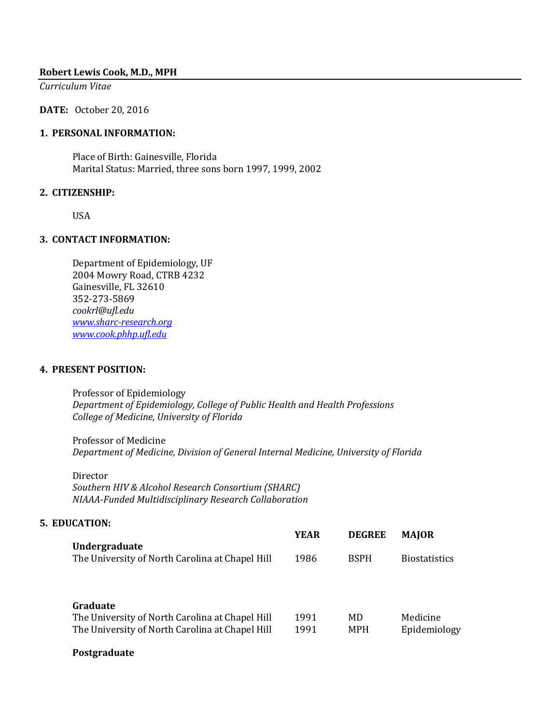### **Robert Lewis Cook, M.D., MPH**

*Curriculum Vitae*

**DATE:** October 20, 2016

### **1. PERSONAL INFORMATION:**

Place of Birth: Gainesville, Florida Marital Status: Married, three sons born 1997, 1999, 2002

### **2. CITIZENSHIP:**

USA

### **3. CONTACT INFORMATION:**

Department of Epidemiology, UF 2004 Mowry Road, CTRB 4232 Gainesville, FL 32610 352-273-5869 *[cookrl@ufl.edu](mailto:cookrl@ufl.edu) [www.sharc-research.org](http://www.sharc-research.org/) [www.cook.phhp.ufl.edu](http://www.cook.phhp.ufl.edu/)*

### **4. PRESENT POSITION:**

Professor of Epidemiology *Department of Epidemiology, College of Public Health and Health Professions College of Medicine, University of Florida* 

Professor of Medicine *Department of Medicine, Division of General Internal Medicine, University of Florida* 

Director *Southern HIV & Alcohol Research Consortium (SHARC) NIAAA-Funded Multidisciplinary Research Collaboration* 

### **5. EDUCATION:**

|                                                 | <b>YEAR</b> | <b>DEGREE</b> | <b>MAIOR</b>         |
|-------------------------------------------------|-------------|---------------|----------------------|
| Undergraduate                                   |             |               |                      |
| The University of North Carolina at Chapel Hill | 1986        | <b>BSPH</b>   | <b>Biostatistics</b> |
|                                                 |             |               |                      |

### **Graduate**

| The University of North Carolina at Chapel Hill | 1991 | MD  | Medicine     |
|-------------------------------------------------|------|-----|--------------|
| The University of North Carolina at Chapel Hill | 1991 | MPH | Epidemiology |

### **Postgraduate**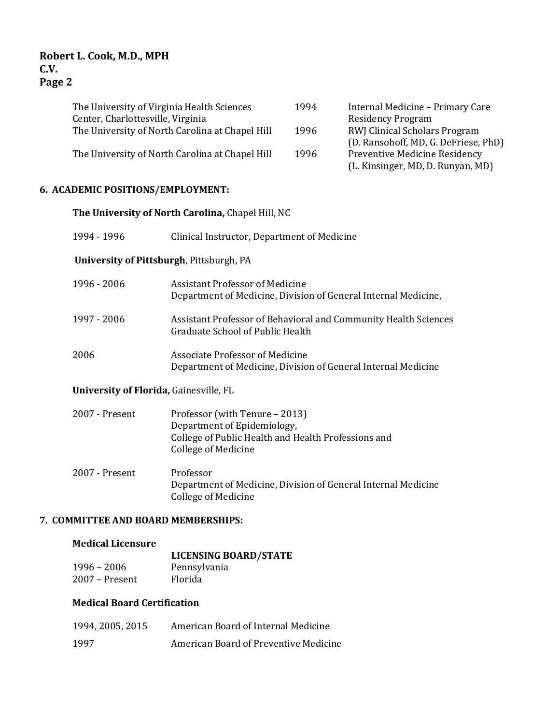| The University of Virginia Health Sciences      | 1994 | Internal Medicine - Primary Care     |
|-------------------------------------------------|------|--------------------------------------|
| Center, Charlottesville, Virginia               |      | <b>Residency Program</b>             |
| The University of North Carolina at Chapel Hill | 1996 | <b>RWJ Clinical Scholars Program</b> |
|                                                 |      | (D. Ransohoff, MD, G. DeFriese, PhD) |
| The University of North Carolina at Chapel Hill | 1996 | Preventive Medicine Residency        |
|                                                 |      | (L. Kinsinger, MD, D. Runyan, MD)    |

## **6. ACADEMIC POSITIONS/EMPLOYMENT:**

|                                          | The University of North Carolina, Chapel Hill, NC                                                                                                  |  |  |
|------------------------------------------|----------------------------------------------------------------------------------------------------------------------------------------------------|--|--|
| 1994 - 1996                              | Clinical Instructor, Department of Medicine                                                                                                        |  |  |
| University of Pittsburgh, Pittsburgh, PA |                                                                                                                                                    |  |  |
| 1996 - 2006                              | <b>Assistant Professor of Medicine</b><br>Department of Medicine, Division of General Internal Medicine,                                           |  |  |
| 1997 - 2006                              | Assistant Professor of Behavioral and Community Health Sciences<br>Graduate School of Public Health                                                |  |  |
| 2006                                     | <b>Associate Professor of Medicine</b><br>Department of Medicine, Division of General Internal Medicine                                            |  |  |
| University of Florida, Gainesville, FL   |                                                                                                                                                    |  |  |
| 2007 - Present                           | Professor (with Tenure - 2013)<br>Department of Epidemiology,<br>College of Public Health and Health Professions and<br><b>College of Medicine</b> |  |  |
| 2007 - Present                           | Professor<br>Department of Medicine, Division of General Internal Medicine<br><b>College of Medicine</b>                                           |  |  |
| 7. COMMITTEE AND BOARD MEMBERSHIPS:      |                                                                                                                                                    |  |  |

## **Medical Licensure**

|                  | <b>LICENSING BOARD/STATE</b> |
|------------------|------------------------------|
| $1996 - 2006$    | Pennsylvania                 |
| $2007 -$ Present | Florida                      |

### **Medical Board Certification**

| 1994, 2005, 2015 | American Board of Internal Medicine   |
|------------------|---------------------------------------|
| 1997             | American Board of Preventive Medicine |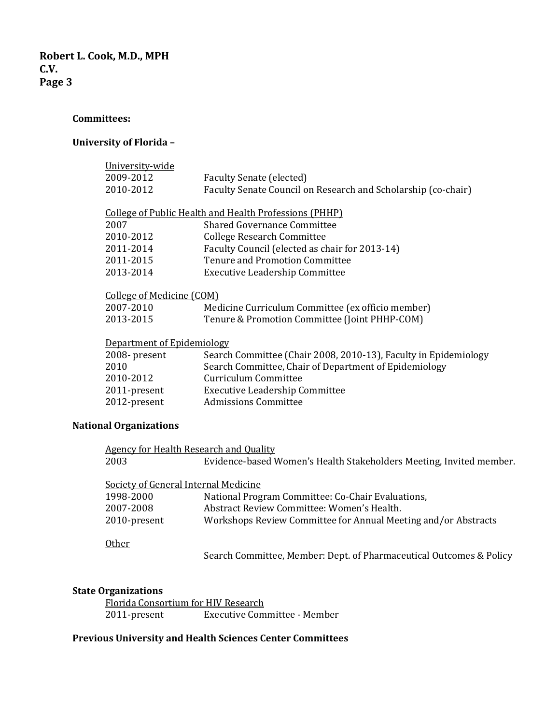### **Committees:**

### **University of Florida –**

| University-wide            |                                                                 |
|----------------------------|-----------------------------------------------------------------|
| 2009-2012                  | Faculty Senate (elected)                                        |
| 2010-2012                  | Faculty Senate Council on Research and Scholarship (co-chair)   |
|                            | <b>College of Public Health and Health Professions (PHHP)</b>   |
| 2007                       | <b>Shared Governance Committee</b>                              |
| 2010-2012                  | College Research Committee                                      |
| 2011-2014                  | Faculty Council (elected as chair for 2013-14)                  |
| 2011-2015                  | <b>Tenure and Promotion Committee</b>                           |
| 2013-2014                  | <b>Executive Leadership Committee</b>                           |
| College of Medicine (COM)  |                                                                 |
| 2007-2010                  | Medicine Curriculum Committee (ex officio member)               |
| 2013-2015                  | Tenure & Promotion Committee (Joint PHHP-COM)                   |
| Department of Epidemiology |                                                                 |
| 2008- present              | Search Committee (Chair 2008, 2010-13), Faculty in Epidemiology |
| 2010                       | Search Committee, Chair of Department of Epidemiology           |
| 2010-2012                  | Curriculum Committee                                            |
| 2011-present               | <b>Executive Leadership Committee</b>                           |
| 2012-present               | <b>Admissions Committee</b>                                     |

# **National Organizations**

| <b>Agency for Health Research and Quality</b> |                                                                     |
|-----------------------------------------------|---------------------------------------------------------------------|
| 2003                                          | Evidence-based Women's Health Stakeholders Meeting, Invited member. |
|                                               |                                                                     |
| Society of General Internal Medicine          |                                                                     |
| 1998-2000                                     | National Program Committee: Co-Chair Evaluations,                   |
| 2007-2008                                     | Abstract Review Committee: Women's Health.                          |
| 2010-present                                  | Workshops Review Committee for Annual Meeting and/or Abstracts      |
|                                               |                                                                     |
| Other                                         |                                                                     |
|                                               | Search Committee, Member: Dept. of Pharmaceutical Outcomes & Policy |

### **State Organizations**

Florida Consortium for HIV Research<br>2011-present Executive Com Executive Committee - Member

### **Previous University and Health Sciences Center Committees**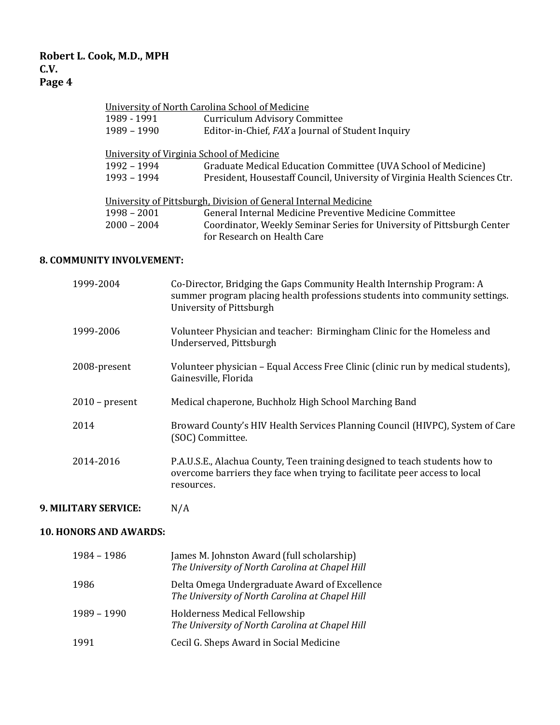|                                           | University of North Carolina School of Medicine                            |
|-------------------------------------------|----------------------------------------------------------------------------|
| 1989 - 1991                               | <b>Curriculum Advisory Committee</b>                                       |
| 1989 - 1990                               | Editor-in-Chief, FAX a Journal of Student Inquiry                          |
|                                           |                                                                            |
| University of Virginia School of Medicine |                                                                            |
| 1992 - 1994                               | Graduate Medical Education Committee (UVA School of Medicine)              |
| 1993 - 1994                               | President, Housestaff Council, University of Virginia Health Sciences Ctr. |
|                                           |                                                                            |
|                                           | University of Pittsburgh, Division of General Internal Medicine            |
| $1998 - 2001$                             | General Internal Medicine Preventive Medicine Committee                    |
| $2000 - 2004$                             | Coordinator, Weekly Seminar Series for University of Pittsburgh Center     |
|                                           | for Research on Health Care                                                |

### **8. COMMUNITY INVOLVEMENT:**

| 1999-2004        | Co-Director, Bridging the Gaps Community Health Internship Program: A<br>summer program placing health professions students into community settings.<br>University of Pittsburgh |
|------------------|----------------------------------------------------------------------------------------------------------------------------------------------------------------------------------|
| 1999-2006        | Volunteer Physician and teacher: Birmingham Clinic for the Homeless and<br>Underserved, Pittsburgh                                                                               |
| 2008-present     | Volunteer physician - Equal Access Free Clinic (clinic run by medical students),<br>Gainesville, Florida                                                                         |
| $2010$ – present | Medical chaperone, Buchholz High School Marching Band                                                                                                                            |
| 2014             | Broward County's HIV Health Services Planning Council (HIVPC), System of Care<br>(SOC) Committee.                                                                                |
| 2014-2016        | P.A.U.S.E., Alachua County, Teen training designed to teach students how to<br>overcome barriers they face when trying to facilitate peer access to local<br>resources.          |

# **9. MILITARY SERVICE:** N/A

# **10. HONORS AND AWARDS:**

| 1984 - 1986 | James M. Johnston Award (full scholarship)<br>The University of North Carolina at Chapel Hill    |
|-------------|--------------------------------------------------------------------------------------------------|
| 1986        | Delta Omega Undergraduate Award of Excellence<br>The University of North Carolina at Chapel Hill |
| 1989 - 1990 | Holderness Medical Fellowship<br>The University of North Carolina at Chapel Hill                 |
| 1991        | Cecil G. Sheps Award in Social Medicine                                                          |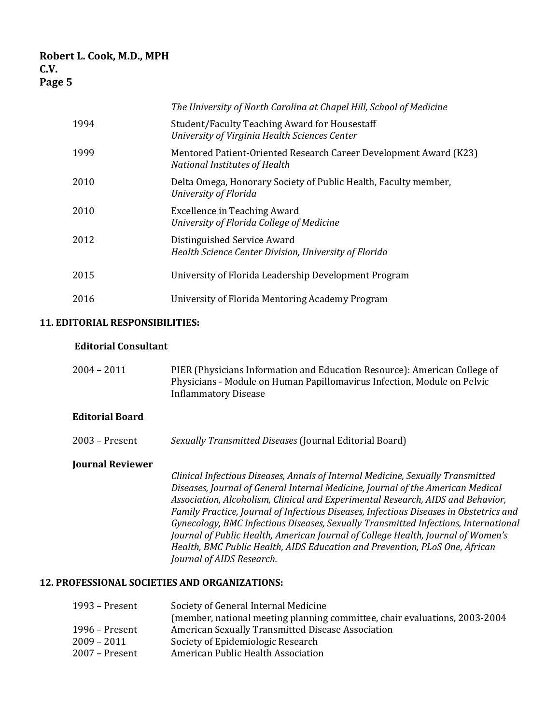|      | The University of North Carolina at Chapel Hill, School of Medicine                                |
|------|----------------------------------------------------------------------------------------------------|
| 1994 | Student/Faculty Teaching Award for Housestaff<br>University of Virginia Health Sciences Center     |
| 1999 | Mentored Patient-Oriented Research Career Development Award (K23)<br>National Institutes of Health |
| 2010 | Delta Omega, Honorary Society of Public Health, Faculty member,<br>University of Florida           |
| 2010 | <b>Excellence in Teaching Award</b><br>University of Florida College of Medicine                   |
| 2012 | Distinguished Service Award<br>Health Science Center Division, University of Florida               |
| 2015 | University of Florida Leadership Development Program                                               |
| 2016 | University of Florida Mentoring Academy Program                                                    |

### **11. EDITORIAL RESPONSIBILITIES:**

### **Editorial Consultant**

| $2004 - 2011$ | PIER (Physicians Information and Education Resource): American College of |
|---------------|---------------------------------------------------------------------------|
|               | Physicians - Module on Human Papillomavirus Infection, Module on Pelvic   |
|               | <b>Inflammatory Disease</b>                                               |

### **Editorial Board**

2003 – Present *Sexually Transmitted Diseases* (Journal Editorial Board)

### **Journal Reviewer**

*Clinical Infectious Diseases, Annals of Internal Medicine, Sexually Transmitted Diseases, Journal of General Internal Medicine, Journal of the American Medical Association, Alcoholism, Clinical and Experimental Research, AIDS and Behavior, Family Practice, Journal of Infectious Diseases, Infectious Diseases in Obstetrics and Gynecology, BMC Infectious Diseases, Sexually Transmitted Infections, International Journal of Public Health, American Journal of College Health, Journal of Women's Health, BMC Public Health, AIDS Education and Prevention, PLoS One, African Journal of AIDS Research.*

### **12. PROFESSIONAL SOCIETIES AND ORGANIZATIONS:**

| 1993 - Present | Society of General Internal Medicine                                        |
|----------------|-----------------------------------------------------------------------------|
|                | (member, national meeting planning committee, chair evaluations, 2003-2004) |
| 1996 – Present | American Sexually Transmitted Disease Association                           |
| 2009 – 2011    | Society of Epidemiologic Research                                           |
| 2007 – Present | American Public Health Association                                          |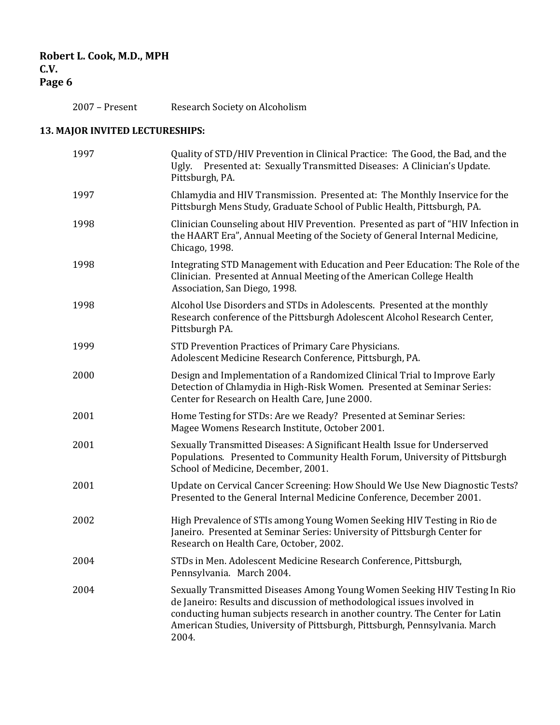2007 – Present Research Society on Alcoholism

# **13. MAJOR INVITED LECTURESHIPS:**

| 1997 | Quality of STD/HIV Prevention in Clinical Practice: The Good, the Bad, and the<br>Ugly. Presented at: Sexually Transmitted Diseases: A Clinician's Update.<br>Pittsburgh, PA.                                                                                                                                                |
|------|------------------------------------------------------------------------------------------------------------------------------------------------------------------------------------------------------------------------------------------------------------------------------------------------------------------------------|
| 1997 | Chlamydia and HIV Transmission. Presented at: The Monthly Inservice for the<br>Pittsburgh Mens Study, Graduate School of Public Health, Pittsburgh, PA.                                                                                                                                                                      |
| 1998 | Clinician Counseling about HIV Prevention. Presented as part of "HIV Infection in<br>the HAART Era", Annual Meeting of the Society of General Internal Medicine,<br>Chicago, 1998.                                                                                                                                           |
| 1998 | Integrating STD Management with Education and Peer Education: The Role of the<br>Clinician. Presented at Annual Meeting of the American College Health<br>Association, San Diego, 1998.                                                                                                                                      |
| 1998 | Alcohol Use Disorders and STDs in Adolescents. Presented at the monthly<br>Research conference of the Pittsburgh Adolescent Alcohol Research Center,<br>Pittsburgh PA.                                                                                                                                                       |
| 1999 | STD Prevention Practices of Primary Care Physicians.<br>Adolescent Medicine Research Conference, Pittsburgh, PA.                                                                                                                                                                                                             |
| 2000 | Design and Implementation of a Randomized Clinical Trial to Improve Early<br>Detection of Chlamydia in High-Risk Women. Presented at Seminar Series:<br>Center for Research on Health Care, June 2000.                                                                                                                       |
| 2001 | Home Testing for STDs: Are we Ready? Presented at Seminar Series:<br>Magee Womens Research Institute, October 2001.                                                                                                                                                                                                          |
| 2001 | Sexually Transmitted Diseases: A Significant Health Issue for Underserved<br>Populations. Presented to Community Health Forum, University of Pittsburgh<br>School of Medicine, December, 2001.                                                                                                                               |
| 2001 | Update on Cervical Cancer Screening: How Should We Use New Diagnostic Tests?<br>Presented to the General Internal Medicine Conference, December 2001.                                                                                                                                                                        |
| 2002 | High Prevalence of STIs among Young Women Seeking HIV Testing in Rio de<br>Janeiro. Presented at Seminar Series: University of Pittsburgh Center for<br>Research on Health Care, October, 2002.                                                                                                                              |
| 2004 | STDs in Men. Adolescent Medicine Research Conference, Pittsburgh,<br>Pennsylvania. March 2004.                                                                                                                                                                                                                               |
| 2004 | Sexually Transmitted Diseases Among Young Women Seeking HIV Testing In Rio<br>de Janeiro: Results and discussion of methodological issues involved in<br>conducting human subjects research in another country. The Center for Latin<br>American Studies, University of Pittsburgh, Pittsburgh, Pennsylvania. March<br>2004. |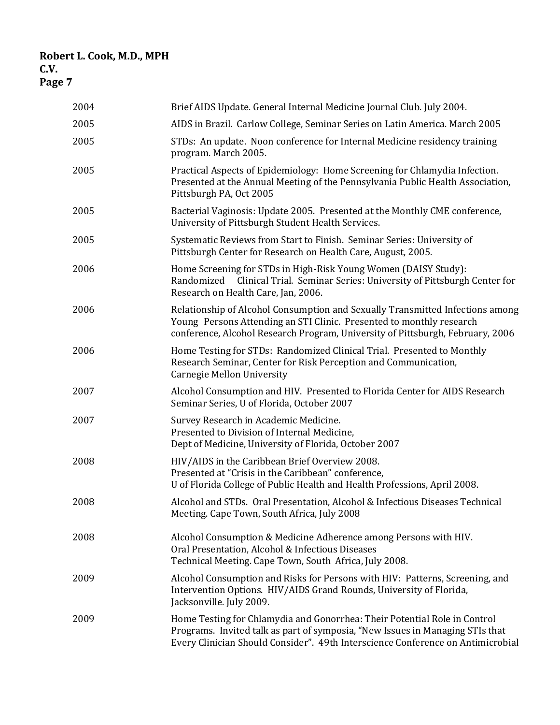| 2004 | Brief AIDS Update. General Internal Medicine Journal Club. July 2004.                                                                                                                                                                         |
|------|-----------------------------------------------------------------------------------------------------------------------------------------------------------------------------------------------------------------------------------------------|
| 2005 | AIDS in Brazil. Carlow College, Seminar Series on Latin America. March 2005                                                                                                                                                                   |
| 2005 | STDs: An update. Noon conference for Internal Medicine residency training<br>program. March 2005.                                                                                                                                             |
| 2005 | Practical Aspects of Epidemiology: Home Screening for Chlamydia Infection.<br>Presented at the Annual Meeting of the Pennsylvania Public Health Association,<br>Pittsburgh PA, Oct 2005                                                       |
| 2005 | Bacterial Vaginosis: Update 2005. Presented at the Monthly CME conference,<br>University of Pittsburgh Student Health Services.                                                                                                               |
| 2005 | Systematic Reviews from Start to Finish. Seminar Series: University of<br>Pittsburgh Center for Research on Health Care, August, 2005.                                                                                                        |
| 2006 | Home Screening for STDs in High-Risk Young Women (DAISY Study):<br>Clinical Trial. Seminar Series: University of Pittsburgh Center for<br>Randomized<br>Research on Health Care, Jan, 2006.                                                   |
| 2006 | Relationship of Alcohol Consumption and Sexually Transmitted Infections among<br>Young Persons Attending an STI Clinic. Presented to monthly research<br>conference, Alcohol Research Program, University of Pittsburgh, February, 2006       |
| 2006 | Home Testing for STDs: Randomized Clinical Trial. Presented to Monthly<br>Research Seminar, Center for Risk Perception and Communication,<br>Carnegie Mellon University                                                                       |
| 2007 | Alcohol Consumption and HIV. Presented to Florida Center for AIDS Research<br>Seminar Series, U of Florida, October 2007                                                                                                                      |
| 2007 | Survey Research in Academic Medicine.<br>Presented to Division of Internal Medicine,<br>Dept of Medicine, University of Florida, October 2007                                                                                                 |
| 2008 | HIV/AIDS in the Caribbean Brief Overview 2008.<br>Presented at "Crisis in the Caribbean" conference,<br>U of Florida College of Public Health and Health Professions, April 2008.                                                             |
| 2008 | Alcohol and STDs. Oral Presentation, Alcohol & Infectious Diseases Technical<br>Meeting. Cape Town, South Africa, July 2008                                                                                                                   |
| 2008 | Alcohol Consumption & Medicine Adherence among Persons with HIV.<br>Oral Presentation, Alcohol & Infectious Diseases<br>Technical Meeting. Cape Town, South Africa, July 2008.                                                                |
| 2009 | Alcohol Consumption and Risks for Persons with HIV: Patterns, Screening, and<br>Intervention Options. HIV/AIDS Grand Rounds, University of Florida,<br>Jacksonville. July 2009.                                                               |
| 2009 | Home Testing for Chlamydia and Gonorrhea: Their Potential Role in Control<br>Programs. Invited talk as part of symposia, "New Issues in Managing STIs that<br>Every Clinician Should Consider". 49th Interscience Conference on Antimicrobial |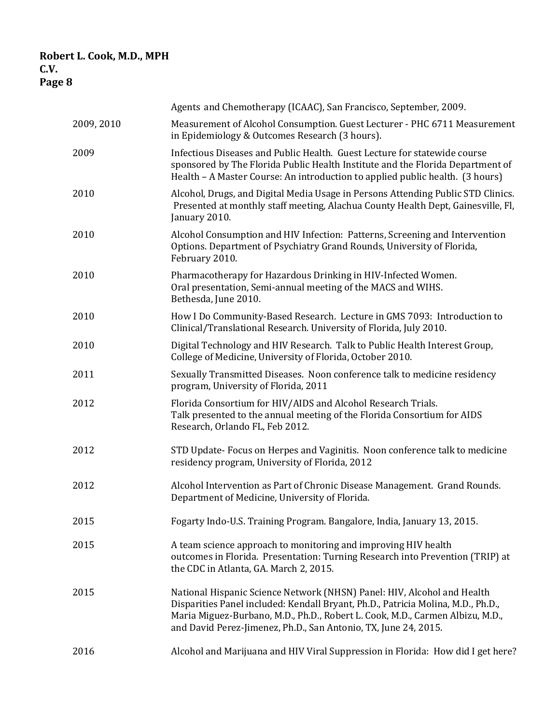|            | Agents and Chemotherapy (ICAAC), San Francisco, September, 2009.                                                                                                                                                                                                                                                |
|------------|-----------------------------------------------------------------------------------------------------------------------------------------------------------------------------------------------------------------------------------------------------------------------------------------------------------------|
| 2009, 2010 | Measurement of Alcohol Consumption. Guest Lecturer - PHC 6711 Measurement<br>in Epidemiology & Outcomes Research (3 hours).                                                                                                                                                                                     |
| 2009       | Infectious Diseases and Public Health. Guest Lecture for statewide course<br>sponsored by The Florida Public Health Institute and the Florida Department of<br>Health - A Master Course: An introduction to applied public health. (3 hours)                                                                    |
| 2010       | Alcohol, Drugs, and Digital Media Usage in Persons Attending Public STD Clinics.<br>Presented at monthly staff meeting, Alachua County Health Dept, Gainesville, Fl,<br>January 2010.                                                                                                                           |
| 2010       | Alcohol Consumption and HIV Infection: Patterns, Screening and Intervention<br>Options. Department of Psychiatry Grand Rounds, University of Florida,<br>February 2010.                                                                                                                                         |
| 2010       | Pharmacotherapy for Hazardous Drinking in HIV-Infected Women.<br>Oral presentation, Semi-annual meeting of the MACS and WIHS.<br>Bethesda, June 2010.                                                                                                                                                           |
| 2010       | How I Do Community-Based Research. Lecture in GMS 7093: Introduction to<br>Clinical/Translational Research. University of Florida, July 2010.                                                                                                                                                                   |
| 2010       | Digital Technology and HIV Research. Talk to Public Health Interest Group,<br>College of Medicine, University of Florida, October 2010.                                                                                                                                                                         |
| 2011       | Sexually Transmitted Diseases. Noon conference talk to medicine residency<br>program, University of Florida, 2011                                                                                                                                                                                               |
| 2012       | Florida Consortium for HIV/AIDS and Alcohol Research Trials.<br>Talk presented to the annual meeting of the Florida Consortium for AIDS<br>Research, Orlando FL, Feb 2012.                                                                                                                                      |
| 2012       | STD Update-Focus on Herpes and Vaginitis. Noon conference talk to medicine<br>residency program, University of Florida, 2012                                                                                                                                                                                    |
| 2012       | Alcohol Intervention as Part of Chronic Disease Management. Grand Rounds.<br>Department of Medicine, University of Florida.                                                                                                                                                                                     |
| 2015       | Fogarty Indo-U.S. Training Program. Bangalore, India, January 13, 2015.                                                                                                                                                                                                                                         |
| 2015       | A team science approach to monitoring and improving HIV health<br>outcomes in Florida. Presentation: Turning Research into Prevention (TRIP) at<br>the CDC in Atlanta, GA. March 2, 2015.                                                                                                                       |
| 2015       | National Hispanic Science Network (NHSN) Panel: HIV, Alcohol and Health<br>Disparities Panel included: Kendall Bryant, Ph.D., Patricia Molina, M.D., Ph.D.,<br>Maria Miguez-Burbano, M.D., Ph.D., Robert L. Cook, M.D., Carmen Albizu, M.D.,<br>and David Perez-Jimenez, Ph.D., San Antonio, TX, June 24, 2015. |
| 2016       | Alcohol and Marijuana and HIV Viral Suppression in Florida: How did I get here?                                                                                                                                                                                                                                 |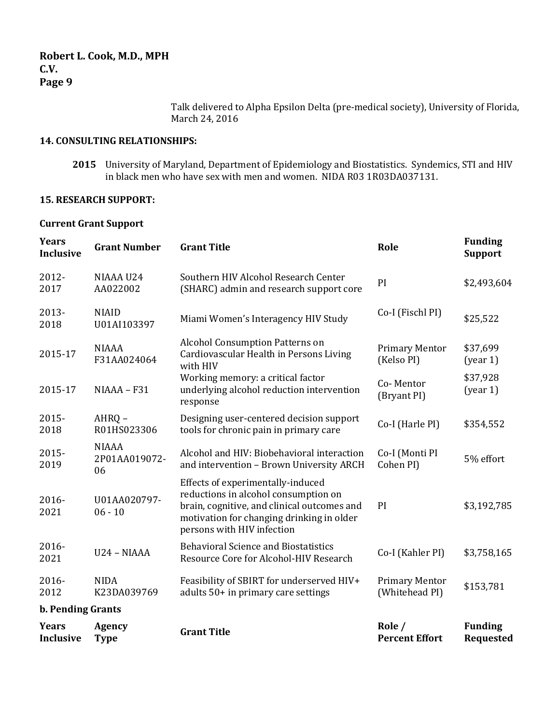Talk delivered to Alpha Epsilon Delta (pre-medical society), University of Florida, March 24, 2016

### **14. CONSULTING RELATIONSHIPS:**

**2015** University of Maryland, Department of Epidemiology and Biostatistics. Syndemics, STI and HIV in black men who have sex with men and women. NIDA R03 1R03DA037131.

### **15. RESEARCH SUPPORT:**

# **Current Grant Support**

| <b>Years</b><br>Inclusive        | <b>Grant Number</b>                 | <b>Grant Title</b>                                                                                                                                                                                  | Role                                    | <b>Funding</b><br><b>Support</b>   |
|----------------------------------|-------------------------------------|-----------------------------------------------------------------------------------------------------------------------------------------------------------------------------------------------------|-----------------------------------------|------------------------------------|
| 2012-<br>2017                    | NIAAA U24<br>AA022002               | Southern HIV Alcohol Research Center<br>(SHARC) admin and research support core                                                                                                                     | PI                                      | \$2,493,604                        |
| 2013-<br>2018                    | <b>NIAID</b><br>U01AI103397         | Miami Women's Interagency HIV Study                                                                                                                                                                 | Co-I (Fischl PI)                        | \$25,522                           |
| 2015-17                          | <b>NIAAA</b><br>F31AA024064         | <b>Alcohol Consumption Patterns on</b><br>Cardiovascular Health in Persons Living<br>with HIV                                                                                                       | <b>Primary Mentor</b><br>(Kelso PI)     | \$37,699<br>(year 1)               |
| 2015-17                          | NIAAA - F31                         | Working memory: a critical factor<br>underlying alcohol reduction intervention<br>response                                                                                                          | Co-Mentor<br>(Bryant PI)                | \$37,928<br>(year 1)               |
| 2015-<br>2018                    | AHRQ-<br>R01HS023306                | Designing user-centered decision support<br>tools for chronic pain in primary care                                                                                                                  | Co-I (Harle PI)                         | \$354,552                          |
| 2015-<br>2019                    | <b>NIAAA</b><br>2P01AA019072-<br>06 | Alcohol and HIV: Biobehavioral interaction<br>and intervention - Brown University ARCH                                                                                                              | Co-I (Monti PI<br>Cohen PI)             | 5% effort                          |
| 2016-<br>2021                    | U01AA020797-<br>$06 - 10$           | Effects of experimentally-induced<br>reductions in alcohol consumption on<br>brain, cognitive, and clinical outcomes and<br>motivation for changing drinking in older<br>persons with HIV infection | PI                                      | \$3,192,785                        |
| 2016-<br>2021                    | U24 - NIAAA                         | <b>Behavioral Science and Biostatistics</b><br>Resource Core for Alcohol-HIV Research                                                                                                               | Co-I (Kahler PI)                        | \$3,758,165                        |
| 2016-<br>2012                    | <b>NIDA</b><br>K23DA039769          | Feasibility of SBIRT for underserved HIV+<br>adults 50+ in primary care settings                                                                                                                    | <b>Primary Mentor</b><br>(Whitehead PI) | \$153,781                          |
| <b>b. Pending Grants</b>         |                                     |                                                                                                                                                                                                     |                                         |                                    |
| <b>Years</b><br><b>Inclusive</b> | <b>Agency</b><br><b>Type</b>        | <b>Grant Title</b>                                                                                                                                                                                  | Role /<br><b>Percent Effort</b>         | <b>Funding</b><br><b>Requested</b> |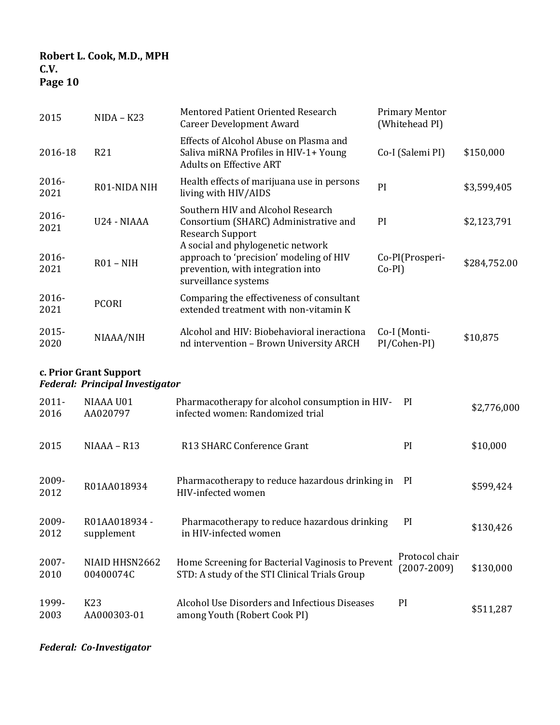| 2015             | $NIDA - K23$    | Mentored Patient Oriented Research<br><b>Career Development Award</b>                                                                     | <b>Primary Mentor</b><br>(Whitehead PI) |              |
|------------------|-----------------|-------------------------------------------------------------------------------------------------------------------------------------------|-----------------------------------------|--------------|
| 2016-18          | R <sub>21</sub> | Effects of Alcohol Abuse on Plasma and<br>Saliva miRNA Profiles in HIV-1+ Young<br><b>Adults on Effective ART</b>                         | Co-I (Salemi PI)                        | \$150,000    |
| 2016-<br>2021    | R01-NIDA NIH    | Health effects of marijuana use in persons<br>living with HIV/AIDS                                                                        | PI                                      | \$3,599,405  |
| $2016 -$<br>2021 | U24 - NIAAA     | Southern HIV and Alcohol Research<br>Consortium (SHARC) Administrative and<br><b>Research Support</b>                                     | <sub>PI</sub>                           | \$2,123,791  |
| $2016 -$<br>2021 | $R01 - NIH$     | A social and phylogenetic network<br>approach to 'precision' modeling of HIV<br>prevention, with integration into<br>surveillance systems | Co-PI(Prosperi-<br>$Co-PI$ )            | \$284,752.00 |
| $2016 -$<br>2021 | <b>PCORI</b>    | Comparing the effectiveness of consultant<br>extended treatment with non-vitamin K                                                        |                                         |              |
| 2015-<br>2020    | NIAAA/NIH       | Alcohol and HIV: Biobehavioral ineractiona<br>nd intervention – Brown University ARCH                                                     | Co-I (Monti-<br>PI/Cohen-PI)            | \$10,875     |

**c. Prior Grant Support** *Federal: Principal Investigator*

2011- 2016 NIAAA U01 AA020797 Pharmacotherapy for alcohol consumption in HIVinfected women: Randomized trial \$2,776,000 2015 NIAAA – R13 R13 SHARC Conference Grant PI \$10,000 2009- 2009-<br>R01AA018934 Pharmacotherapy to reduce hazardous drinking in PI<br>HIV-infected women HIV-infected women PI \$599,424 2009- 2012 R01AA018934  supplement Pharmacotherapy to reduce hazardous drinking in HIV-infected women PI \$130,426 2007- 2010 NIAID HHSN2662 00400074C Home Screening for Bacterial Vaginosis to Prevent STD: A study of the STI Clinical Trials Group Protocol chair (2007-2009) \$130,000 1999- 2003 K23 AA000303-01 Alcohol Use Disorders and Infectious Diseases among Youth (Robert Cook PI) PI \$511,287

*Federal: Co-Investigator*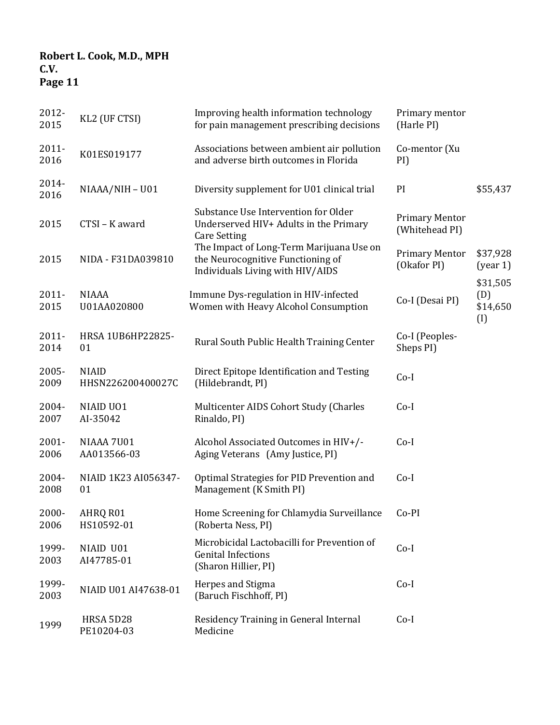| 2012-<br>2015    | KL2 (UF CTSI)                     | Improving health information technology<br>for pain management prescribing decisions                              | Primary mentor<br>(Harle PI)            |                                    |
|------------------|-----------------------------------|-------------------------------------------------------------------------------------------------------------------|-----------------------------------------|------------------------------------|
| 2011-<br>2016    | K01ES019177                       | Associations between ambient air pollution<br>and adverse birth outcomes in Florida                               | Co-mentor (Xu<br>PI)                    |                                    |
| 2014-<br>2016    | NIAAA/NIH-U01                     | Diversity supplement for U01 clinical trial                                                                       | PI                                      | \$55,437                           |
| 2015             | CTSI-K award                      | Substance Use Intervention for Older<br>Underserved HIV+ Adults in the Primary<br><b>Care Setting</b>             | <b>Primary Mentor</b><br>(Whitehead PI) |                                    |
| 2015             | NIDA - F31DA039810                | The Impact of Long-Term Marijuana Use on<br>the Neurocognitive Functioning of<br>Individuals Living with HIV/AIDS | <b>Primary Mentor</b><br>(Okafor PI)    | \$37,928<br>(year 1)               |
| $2011 -$<br>2015 | <b>NIAAA</b><br>U01AA020800       | Immune Dys-regulation in HIV-infected<br>Women with Heavy Alcohol Consumption                                     | Co-I (Desai PI)                         | \$31,505<br>(D)<br>\$14,650<br>(I) |
| $2011 -$<br>2014 | HRSA 1UB6HP22825-<br>01           | Rural South Public Health Training Center                                                                         | Co-I (Peoples-<br>Sheps PI)             |                                    |
| 2005-<br>2009    | <b>NIAID</b><br>HHSN226200400027C | Direct Epitope Identification and Testing<br>(Hildebrandt, PI)                                                    | $Co-I$                                  |                                    |
| 2004-<br>2007    | NIAID UO1<br>AI-35042             | Multicenter AIDS Cohort Study (Charles<br>Rinaldo, PI)                                                            | $Co-I$                                  |                                    |
| $2001 -$<br>2006 | NIAAA 7U01<br>AA013566-03         | Alcohol Associated Outcomes in HIV+/-<br>Aging Veterans (Amy Justice, PI)                                         | $Co-I$                                  |                                    |
| 2004-<br>2008    | NIAID 1K23 AI056347-<br>01        | Optimal Strategies for PID Prevention and<br>Management (K Smith PI)                                              | $Co-I$                                  |                                    |
| 2000-<br>2006    | AHRQ R01<br>HS10592-01            | Home Screening for Chlamydia Surveillance<br>(Roberta Ness, PI)                                                   | $Co-PI$                                 |                                    |
| 1999-<br>2003    | NIAID U01<br>AI47785-01           | Microbicidal Lactobacilli for Prevention of<br><b>Genital Infections</b><br>(Sharon Hillier, PI)                  | $Co-I$                                  |                                    |
| 1999-<br>2003    | NIAID U01 AI47638-01              | Herpes and Stigma<br>(Baruch Fischhoff, PI)                                                                       | $Co-I$                                  |                                    |
| 1999             | HRSA 5D28<br>PE10204-03           | Residency Training in General Internal<br>Medicine                                                                | $Co-I$                                  |                                    |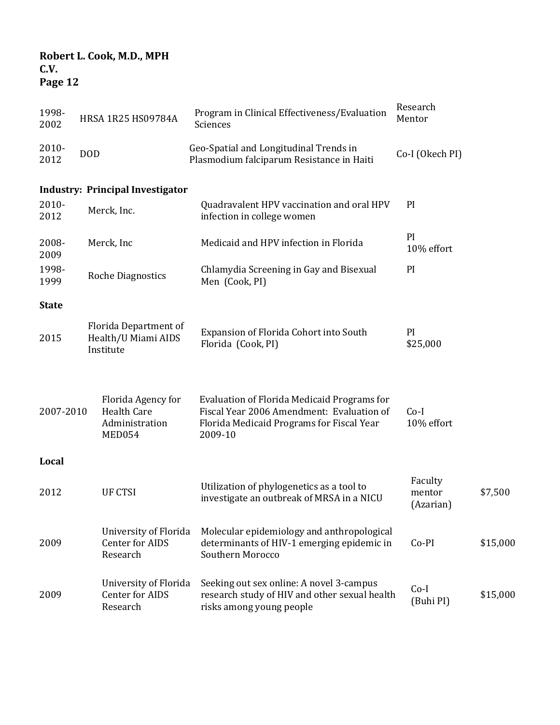| 1998-<br>2002 |            | HRSA 1R25 HS09784A                                                   | Program in Clinical Effectiveness/Evaluation<br>Sciences                                                                                         | Research<br>Mentor             |          |
|---------------|------------|----------------------------------------------------------------------|--------------------------------------------------------------------------------------------------------------------------------------------------|--------------------------------|----------|
| 2010-<br>2012 | <b>DOD</b> |                                                                      | Geo-Spatial and Longitudinal Trends in<br>Plasmodium falciparum Resistance in Haiti                                                              | Co-I (Okech PI)                |          |
|               |            | <b>Industry: Principal Investigator</b>                              |                                                                                                                                                  |                                |          |
| 2010-<br>2012 |            | Merck, Inc.                                                          | Quadravalent HPV vaccination and oral HPV<br>infection in college women                                                                          | PI                             |          |
| 2008-<br>2009 |            | Merck, Inc                                                           | Medicaid and HPV infection in Florida                                                                                                            | PI<br>10% effort               |          |
| 1998-<br>1999 |            | <b>Roche Diagnostics</b>                                             | Chlamydia Screening in Gay and Bisexual<br>Men (Cook, PI)                                                                                        | PI                             |          |
| <b>State</b>  |            |                                                                      |                                                                                                                                                  |                                |          |
| 2015          |            | Florida Department of<br>Health/U Miami AIDS<br>Institute            | Expansion of Florida Cohort into South<br>Florida (Cook, PI)                                                                                     | PI<br>\$25,000                 |          |
| 2007-2010     |            | Florida Agency for<br><b>Health Care</b><br>Administration<br>MED054 | Evaluation of Florida Medicaid Programs for<br>Fiscal Year 2006 Amendment: Evaluation of<br>Florida Medicaid Programs for Fiscal Year<br>2009-10 | $Co-I$<br>10% effort           |          |
| Local         |            |                                                                      |                                                                                                                                                  |                                |          |
| 2012          |            | <b>UF CTSI</b>                                                       | Utilization of phylogenetics as a tool to<br>investigate an outbreak of MRSA in a NICU                                                           | Faculty<br>mentor<br>(Azarian) | \$7,500  |
| 2009          |            | University of Florida<br>Center for AIDS<br>Research                 | Molecular epidemiology and anthropological<br>determinants of HIV-1 emerging epidemic in<br>Southern Morocco                                     | Co-PI                          | \$15,000 |
| 2009          |            | University of Florida<br>Center for AIDS<br>Research                 | Seeking out sex online: A novel 3-campus<br>research study of HIV and other sexual health<br>risks among young people                            | $Co-I$<br>(Buhi PI)            | \$15,000 |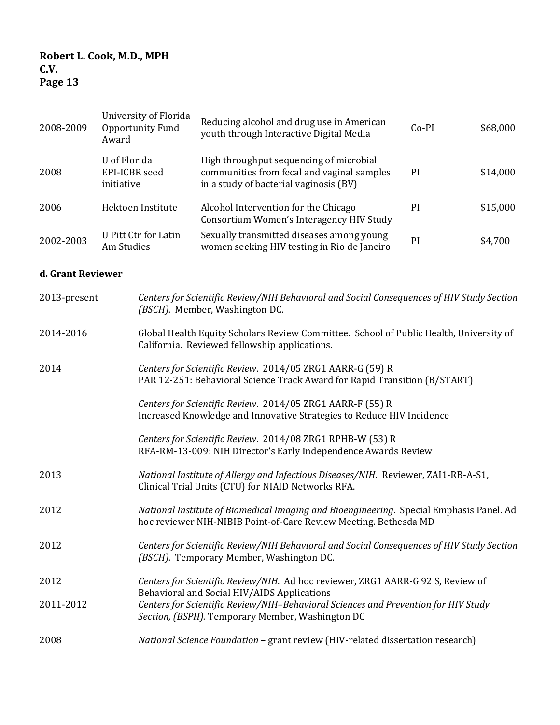| 2008-2009 | University of Florida<br>Opportunity Fund<br>Award | Reducing alcohol and drug use in American<br>youth through Interactive Digital Media                                            | $Co-PI$ | \$68,000 |
|-----------|----------------------------------------------------|---------------------------------------------------------------------------------------------------------------------------------|---------|----------|
| 2008      | U of Florida<br>EPI-ICBR seed<br>initiative        | High throughput sequencing of microbial<br>communities from fecal and vaginal samples<br>in a study of bacterial vaginosis (BV) | PI      | \$14,000 |
| 2006      | Hektoen Institute                                  | Alcohol Intervention for the Chicago<br>Consortium Women's Interagency HIV Study                                                | PI      | \$15,000 |
| 2002-2003 | U Pitt Ctr for Latin<br>Am Studies                 | Sexually transmitted diseases among young<br>women seeking HIV testing in Rio de Janeiro                                        | PI      | \$4,700  |

# **d. Grant Reviewer**

| 2013-present | Centers for Scientific Review/NIH Behavioral and Social Consequences of HIV Study Section<br>(BSCH). Member, Washington DC.                                 |
|--------------|-------------------------------------------------------------------------------------------------------------------------------------------------------------|
| 2014-2016    | Global Health Equity Scholars Review Committee. School of Public Health, University of<br>California. Reviewed fellowship applications.                     |
| 2014         | Centers for Scientific Review. 2014/05 ZRG1 AARR-G (59) R<br>PAR 12-251: Behavioral Science Track Award for Rapid Transition (B/START)                      |
|              | Centers for Scientific Review. 2014/05 ZRG1 AARR-F (55) R<br>Increased Knowledge and Innovative Strategies to Reduce HIV Incidence                          |
|              | Centers for Scientific Review. 2014/08 ZRG1 RPHB-W (53) R<br>RFA-RM-13-009: NIH Director's Early Independence Awards Review                                 |
| 2013         | National Institute of Allergy and Infectious Diseases/NIH. Reviewer, ZAI1-RB-A-S1,<br>Clinical Trial Units (CTU) for NIAID Networks RFA.                    |
| 2012         | National Institute of Biomedical Imaging and Bioengineering. Special Emphasis Panel. Ad<br>hoc reviewer NIH-NIBIB Point-of-Care Review Meeting. Bethesda MD |
| 2012         | Centers for Scientific Review/NIH Behavioral and Social Consequences of HIV Study Section<br>(BSCH). Temporary Member, Washington DC.                       |
| 2012         | Centers for Scientific Review/NIH. Ad hoc reviewer, ZRG1 AARR-G 92 S, Review of<br>Behavioral and Social HIV/AIDS Applications                              |
| 2011-2012    | Centers for Scientific Review/NIH-Behavioral Sciences and Prevention for HIV Study<br>Section, (BSPH). Temporary Member, Washington DC                      |
| 2008         | National Science Foundation - grant review (HIV-related dissertation research)                                                                              |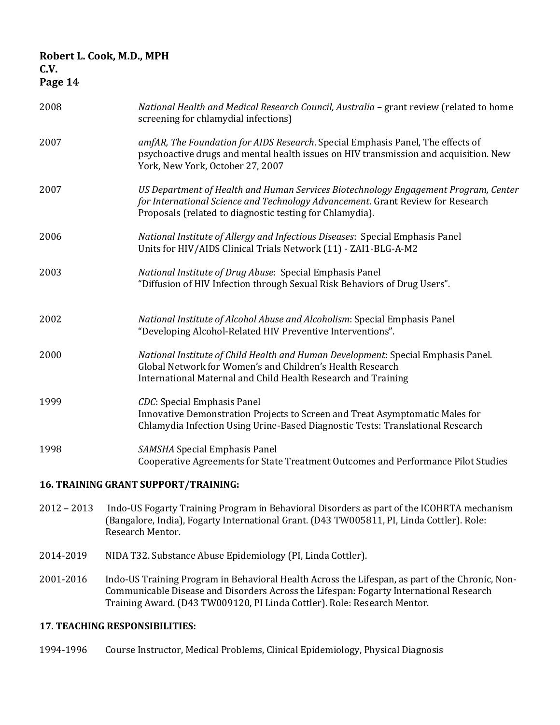| Page 14 |                                                                                                                                                                                                                                    |
|---------|------------------------------------------------------------------------------------------------------------------------------------------------------------------------------------------------------------------------------------|
| 2008    | National Health and Medical Research Council, Australia – grant review (related to home<br>screening for chlamydial infections)                                                                                                    |
| 2007    | amfAR, The Foundation for AIDS Research. Special Emphasis Panel, The effects of<br>psychoactive drugs and mental health issues on HIV transmission and acquisition. New<br>York, New York, October 27, 2007                        |
| 2007    | US Department of Health and Human Services Biotechnology Engagement Program, Center<br>for International Science and Technology Advancement. Grant Review for Research<br>Proposals (related to diagnostic testing for Chlamydia). |
| 2006    | National Institute of Allergy and Infectious Diseases: Special Emphasis Panel<br>Units for HIV/AIDS Clinical Trials Network (11) - ZAI1-BLG-A-M2                                                                                   |
| 2003    | National Institute of Drug Abuse: Special Emphasis Panel<br>"Diffusion of HIV Infection through Sexual Risk Behaviors of Drug Users".                                                                                              |
| 2002    | National Institute of Alcohol Abuse and Alcoholism: Special Emphasis Panel<br>"Developing Alcohol-Related HIV Preventive Interventions".                                                                                           |
| 2000    | National Institute of Child Health and Human Development: Special Emphasis Panel.<br>Global Network for Women's and Children's Health Research<br>International Maternal and Child Health Research and Training                    |
| 1999    | CDC: Special Emphasis Panel<br>Innovative Demonstration Projects to Screen and Treat Asymptomatic Males for<br>Chlamydia Infection Using Urine-Based Diagnostic Tests: Translational Research                                      |
| 1998    | SAMSHA Special Emphasis Panel<br>Cooperative Agreements for State Treatment Outcomes and Performance Pilot Studies                                                                                                                 |
|         |                                                                                                                                                                                                                                    |

### **16. TRAINING GRANT SUPPORT/TRAINING:**

- 2012 2013 Indo-US Fogarty Training Program in Behavioral Disorders as part of the ICOHRTA mechanism (Bangalore, India), Fogarty International Grant. (D43 TW005811, PI, Linda Cottler). Role: Research Mentor.
- 2014-2019 NIDA T32. Substance Abuse Epidemiology (PI, Linda Cottler).
- 2001-2016 Indo-US Training Program in Behavioral Health Across the Lifespan, as part of the Chronic, Non-Communicable Disease and Disorders Across the Lifespan: Fogarty International Research Training Award. (D43 TW009120, PI Linda Cottler). Role: Research Mentor.

### **17. TEACHING RESPONSIBILITIES:**

1994-1996 Course Instructor, Medical Problems, Clinical Epidemiology, Physical Diagnosis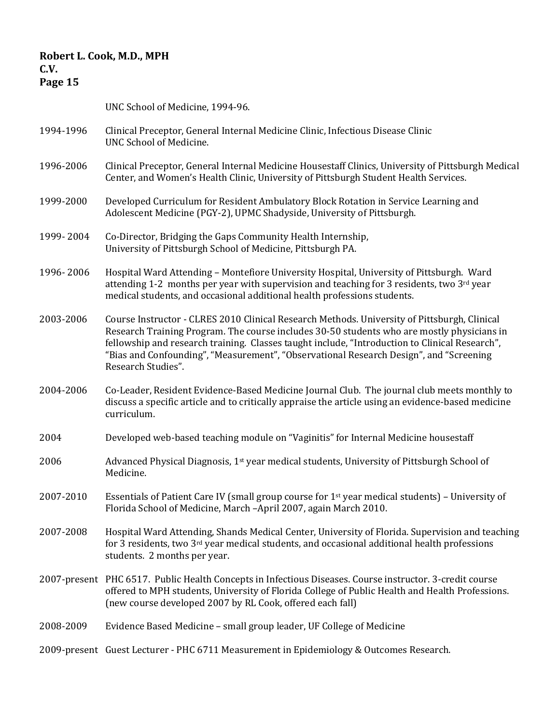# **Page 15**

UNC School of Medicine, 1994-96.

- 1994-1996 Clinical Preceptor, General Internal Medicine Clinic, Infectious Disease Clinic UNC School of Medicine.
- 1996-2006 Clinical Preceptor, General Internal Medicine Housestaff Clinics, University of Pittsburgh Medical Center, and Women's Health Clinic, University of Pittsburgh Student Health Services.
- 1999-2000 Developed Curriculum for Resident Ambulatory Block Rotation in Service Learning and Adolescent Medicine (PGY-2), UPMC Shadyside, University of Pittsburgh.
- 1999- 2004 Co-Director, Bridging the Gaps Community Health Internship, University of Pittsburgh School of Medicine, Pittsburgh PA.
- 1996- 2006 Hospital Ward Attending Montefiore University Hospital, University of Pittsburgh. Ward attending 1-2 months per year with supervision and teaching for 3 residents, two  $3<sup>rd</sup>$  year medical students, and occasional additional health professions students.
- 2003-2006 Course Instructor CLRES 2010 Clinical Research Methods. University of Pittsburgh, Clinical Research Training Program. The course includes 30-50 students who are mostly physicians in fellowship and research training. Classes taught include, "Introduction to Clinical Research", "Bias and Confounding", "Measurement", "Observational Research Design", and "Screening Research Studies".
- 2004-2006 Co-Leader, Resident Evidence-Based Medicine Journal Club. The journal club meets monthly to discuss a specific article and to critically appraise the article using an evidence-based medicine curriculum.
- 2004 Developed web-based teaching module on "Vaginitis" for Internal Medicine housestaff
- 2006 Advanced Physical Diagnosis,  $1<sup>st</sup>$  year medical students, University of Pittsburgh School of Medicine.
- 2007-2010 Essentials of Patient Care IV (small group course for  $1<sup>st</sup>$  year medical students) University of Florida School of Medicine, March –April 2007, again March 2010.
- 2007-2008 Hospital Ward Attending, Shands Medical Center, University of Florida. Supervision and teaching for 3 residents, two 3rd year medical students, and occasional additional health professions students. 2 months per year.
- 2007-present PHC 6517. Public Health Concepts in Infectious Diseases. Course instructor. 3-credit course offered to MPH students, University of Florida College of Public Health and Health Professions. (new course developed 2007 by RL Cook, offered each fall)
- 2008-2009 Evidence Based Medicine small group leader, UF College of Medicine
- 2009-present Guest Lecturer PHC 6711 Measurement in Epidemiology & Outcomes Research.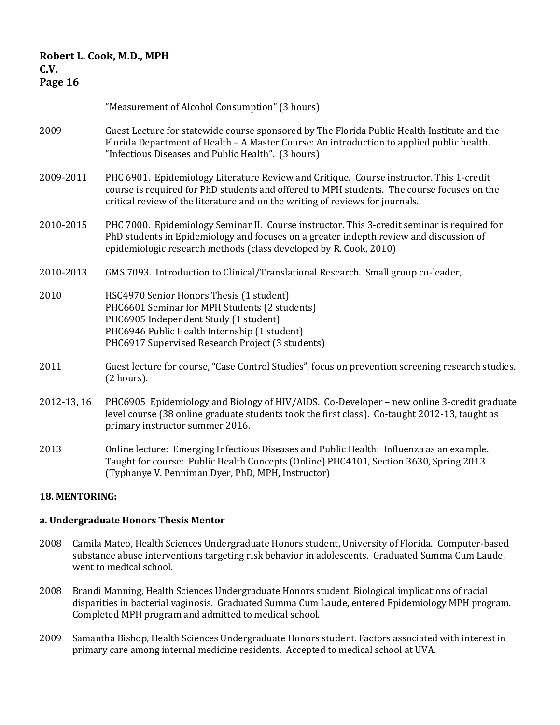# "Measurement of Alcohol Consumption" (3 hours)

- 2009 Guest Lecture for statewide course sponsored by The Florida Public Health Institute and the Florida Department of Health – A Master Course: An introduction to applied public health. "Infectious Diseases and Public Health". (3 hours)
- 2009-2011 PHC 6901. Epidemiology Literature Review and Critique. Course instructor. This 1-credit course is required for PhD students and offered to MPH students. The course focuses on the critical review of the literature and on the writing of reviews for journals.
- 2010-2015 PHC 7000. Epidemiology Seminar II. Course instructor. This 3-credit seminar is required for PhD students in Epidemiology and focuses on a greater indepth review and discussion of epidemiologic research methods (class developed by R. Cook, 2010)
- 2010-2013 GMS 7093. Introduction to Clinical/Translational Research. Small group co-leader,
- 2010 HSC4970 Senior Honors Thesis (1 student) PHC6601 Seminar for MPH Students (2 students) PHC6905 Independent Study (1 student) PHC6946 Public Health Internship (1 student) PHC6917 Supervised Research Project (3 students)
- 2011 Guest lecture for course, "Case Control Studies", focus on prevention screening research studies. (2 hours).
- 2012-13, 16 PHC6905 Epidemiology and Biology of HIV/AIDS. Co-Developer new online 3-credit graduate level course (38 online graduate students took the first class). Co-taught 2012-13, taught as primary instructor summer 2016.
- 2013 Online lecture: Emerging Infectious Diseases and Public Health: Influenza as an example. Taught for course: Public Health Concepts (Online) PHC4101, Section 3630, Spring 2013 (Typhanye V. Penniman Dyer, PhD, MPH, Instructor)

### **18. MENTORING:**

### **a. Undergraduate Honors Thesis Mentor**

- 2008 Camila Mateo, Health Sciences Undergraduate Honors student, University of Florida. Computer-based substance abuse interventions targeting risk behavior in adolescents. Graduated Summa Cum Laude, went to medical school.
- 2008 Brandi Manning, Health Sciences Undergraduate Honors student. Biological implications of racial disparities in bacterial vaginosis. Graduated Summa Cum Laude, entered Epidemiology MPH program. Completed MPH program and admitted to medical school.
- 2009 Samantha Bishop, Health Sciences Undergraduate Honors student. Factors associated with interest in primary care among internal medicine residents. Accepted to medical school at UVA.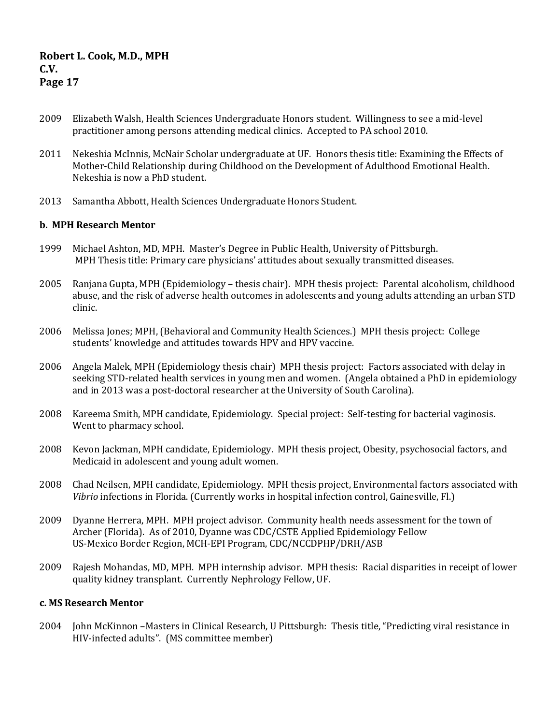- 2009 Elizabeth Walsh, Health Sciences Undergraduate Honors student. Willingness to see a mid-level practitioner among persons attending medical clinics. Accepted to PA school 2010.
- 2011 Nekeshia McInnis, McNair Scholar undergraduate at UF. Honors thesis title: Examining the Effects of Mother-Child Relationship during Childhood on the Development of Adulthood Emotional Health. Nekeshia is now a PhD student.
- 2013 Samantha Abbott, Health Sciences Undergraduate Honors Student.

### **b. MPH Research Mentor**

- 1999 Michael Ashton, MD, MPH. Master's Degree in Public Health, University of Pittsburgh. MPH Thesis title: Primary care physicians' attitudes about sexually transmitted diseases.
- 2005 Ranjana Gupta, MPH (Epidemiology thesis chair). MPH thesis project: Parental alcoholism, childhood abuse, and the risk of adverse health outcomes in adolescents and young adults attending an urban STD clinic.
- 2006 Melissa Jones; MPH, (Behavioral and Community Health Sciences.) MPH thesis project: College students' knowledge and attitudes towards HPV and HPV vaccine.
- 2006 Angela Malek, MPH (Epidemiology thesis chair) MPH thesis project: Factors associated with delay in seeking STD-related health services in young men and women. (Angela obtained a PhD in epidemiology and in 2013 was a post-doctoral researcher at the University of South Carolina).
- 2008 Kareema Smith, MPH candidate, Epidemiology. Special project: Self-testing for bacterial vaginosis. Went to pharmacy school.
- 2008 Kevon Jackman, MPH candidate, Epidemiology. MPH thesis project, Obesity, psychosocial factors, and Medicaid in adolescent and young adult women.
- 2008 Chad Neilsen, MPH candidate, Epidemiology. MPH thesis project, Environmental factors associated with *Vibrio* infections in Florida. (Currently works in hospital infection control, Gainesville, Fl.)
- 2009 Dyanne Herrera, MPH. MPH project advisor. Community health needs assessment for the town of Archer (Florida). As of 2010, Dyanne was CDC/CSTE Applied Epidemiology Fellow US-Mexico Border Region, MCH-EPI Program, CDC/NCCDPHP/DRH/ASB
- 2009 Rajesh Mohandas, MD, MPH. MPH internship advisor. MPH thesis: Racial disparities in receipt of lower quality kidney transplant. Currently Nephrology Fellow, UF.

### **c. MS Research Mentor**

2004 John McKinnon –Masters in Clinical Research, U Pittsburgh: Thesis title, "Predicting viral resistance in HIV-infected adults". (MS committee member)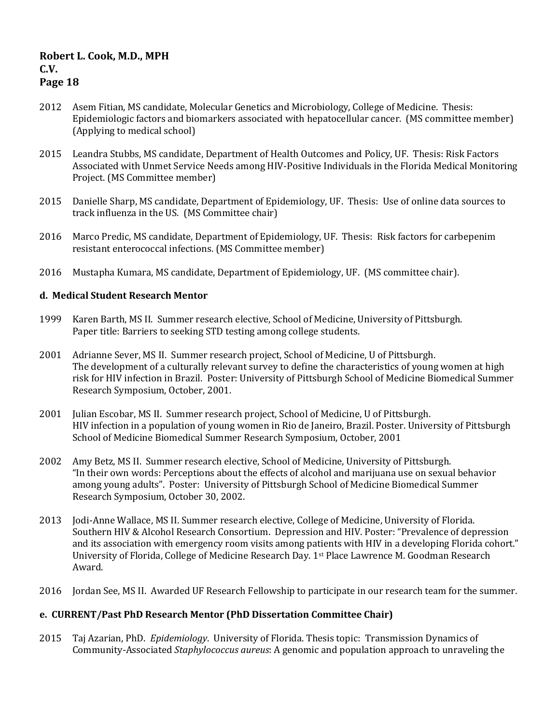# 2012 Asem Fitian, MS candidate, Molecular Genetics and Microbiology, College of Medicine. Thesis: Epidemiologic factors and biomarkers associated with hepatocellular cancer. (MS committee member) (Applying to medical school)

- 2015 Leandra Stubbs, MS candidate, Department of Health Outcomes and Policy, UF. Thesis: Risk Factors Associated with Unmet Service Needs among HIV-Positive Individuals in the Florida Medical Monitoring Project. (MS Committee member)
- 2015 Danielle Sharp, MS candidate, Department of Epidemiology, UF. Thesis: Use of online data sources to track influenza in the US. (MS Committee chair)
- 2016 Marco Predic, MS candidate, Department of Epidemiology, UF. Thesis: Risk factors for carbepenim resistant enterococcal infections. (MS Committee member)
- 2016 Mustapha Kumara, MS candidate, Department of Epidemiology, UF. (MS committee chair).

### **d. Medical Student Research Mentor**

- 1999 Karen Barth, MS II. Summer research elective, School of Medicine, University of Pittsburgh. Paper title: Barriers to seeking STD testing among college students.
- 2001 Adrianne Sever, MS II. Summer research project, School of Medicine, U of Pittsburgh. The development of a culturally relevant survey to define the characteristics of young women at high risk for HIV infection in Brazil. Poster: University of Pittsburgh School of Medicine Biomedical Summer Research Symposium, October, 2001.
- 2001 Julian Escobar, MS II. Summer research project, School of Medicine, U of Pittsburgh. HIV infection in a population of young women in Rio de Janeiro, Brazil. Poster. University of Pittsburgh School of Medicine Biomedical Summer Research Symposium, October, 2001
- 2002 Amy Betz, MS II. Summer research elective, School of Medicine, University of Pittsburgh. "In their own words: Perceptions about the effects of alcohol and marijuana use on sexual behavior among young adults". Poster: University of Pittsburgh School of Medicine Biomedical Summer Research Symposium, October 30, 2002.
- 2013 Jodi-Anne Wallace, MS II. Summer research elective, College of Medicine, University of Florida. Southern HIV & Alcohol Research Consortium. Depression and HIV. Poster: "Prevalence of depression and its association with emergency room visits among patients with HIV in a developing Florida cohort." University of Florida, College of Medicine Research Day. 1st Place Lawrence M. Goodman Research Award.
- 2016 Jordan See, MS II. Awarded UF Research Fellowship to participate in our research team for the summer.

### **e. CURRENT/Past PhD Research Mentor (PhD Dissertation Committee Chair)**

2015 Taj Azarian, PhD. *Epidemiology*. University of Florida. Thesis topic: Transmission Dynamics of Community-Associated *Staphylococcus aureus*: A genomic and population approach to unraveling the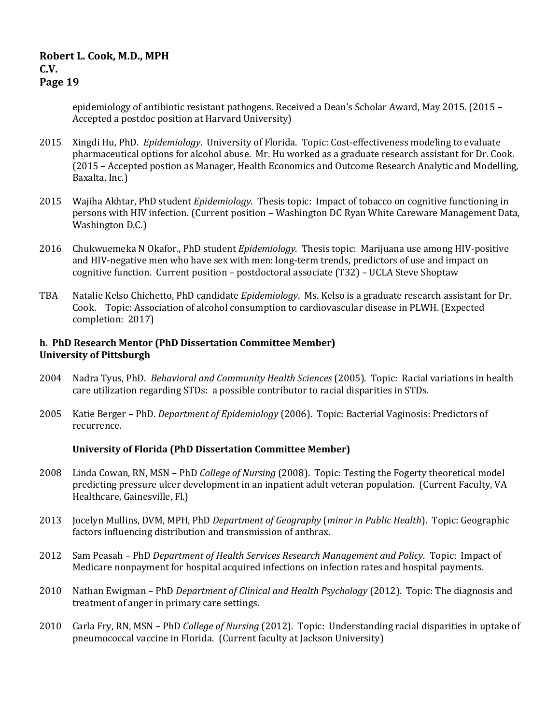epidemiology of antibiotic resistant pathogens. Received a Dean's Scholar Award, May 2015. (2015 – Accepted a postdoc position at Harvard University)

- 2015 Xingdi Hu, PhD. *Epidemiology*. University of Florida. Topic: Cost-effectiveness modeling to evaluate pharmaceutical options for alcohol abuse. Mr. Hu worked as a graduate research assistant for Dr. Cook. (2015 – Accepted postion as Manager, Health Economics and Outcome Research Analytic and Modelling, Baxalta, Inc.)
- 2015 Wajiha Akhtar, PhD student *Epidemiology*. Thesis topic: Impact of tobacco on cognitive functioning in persons with HIV infection. (Current position – Washington DC Ryan White Careware Management Data, Washington D.C.)
- 2016 Chukwuemeka N Okafor., PhD student *Epidemiology*. Thesis topic: Marijuana use among HIV-positive and HIV-negative men who have sex with men: long-term trends, predictors of use and impact on cognitive function. Current position – postdoctoral associate (T32) – UCLA Steve Shoptaw
- TBA Natalie Kelso Chichetto, PhD candidate *Epidemiology*. Ms. Kelso is a graduate research assistant for Dr. Cook. Topic: Association of alcohol consumption to cardiovascular disease in PLWH. (Expected completion: 2017)

### **h. PhD Research Mentor (PhD Dissertation Committee Member) University of Pittsburgh**

- 2004 Nadra Tyus, PhD. *Behavioral and Community Health Sciences* (2005). Topic: Racial variations in health care utilization regarding STDs: a possible contributor to racial disparities in STDs.
- 2005 Katie Berger PhD. *Department of Epidemiology* (2006). Topic: Bacterial Vaginosis: Predictors of recurrence.

### **University of Florida (PhD Dissertation Committee Member)**

- 2008 Linda Cowan, RN, MSN PhD *College of Nursing* (2008). Topic: Testing the Fogerty theoretical model predicting pressure ulcer development in an inpatient adult veteran population. (Current Faculty, VA Healthcare, Gainesville, Fl.)
- 2013 Jocelyn Mullins, DVM, MPH, PhD *Department of Geography* (*minor in Public Health*). Topic: Geographic factors influencing distribution and transmission of anthrax.
- 2012 Sam Peasah PhD *Department of Health Services Research Management and Policy*. Topic: Impact of Medicare nonpayment for hospital acquired infections on infection rates and hospital payments.
- 2010 Nathan Ewigman PhD *Department of Clinical and Health Psychology* (2012). Topic: The diagnosis and treatment of anger in primary care settings.
- 2010 Carla Fry, RN, MSN PhD *College of Nursing* (2012). Topic: Understanding racial disparities in uptake of pneumococcal vaccine in Florida. (Current faculty at Jackson University)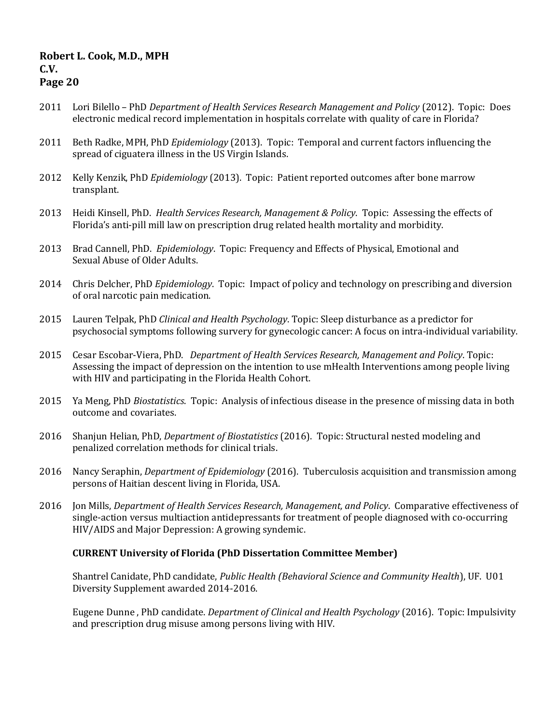- 2011 Lori Bilello PhD *Department of Health Services Research Management and Policy* (2012). Topic: Does electronic medical record implementation in hospitals correlate with quality of care in Florida?
- 2011 Beth Radke, MPH, PhD *Epidemiology* (2013). Topic: Temporal and current factors influencing the spread of ciguatera illness in the US Virgin Islands.
- 2012 Kelly Kenzik, PhD *Epidemiology* (2013). Topic: Patient reported outcomes after bone marrow transplant.
- 2013 Heidi Kinsell, PhD. *Health Services Research, Management & Policy*. Topic: Assessing the effects of Florida's anti-pill mill law on prescription drug related health mortality and morbidity.
- 2013 Brad Cannell, PhD. *Epidemiology*. Topic: Frequency and Effects of Physical, Emotional and Sexual Abuse of Older Adults.
- 2014 Chris Delcher, PhD *Epidemiology*. Topic: Impact of policy and technology on prescribing and diversion of oral narcotic pain medication.
- 2015 Lauren Telpak, PhD *Clinical and Health Psychology*. Topic: Sleep disturbance as a predictor for psychosocial symptoms following survery for gynecologic cancer: A focus on intra-individual variability.
- 2015 Cesar Escobar-Viera, PhD. *Department of Health Services Research, Management and Policy*. Topic: Assessing the impact of depression on the intention to use mHealth Interventions among people living with HIV and participating in the Florida Health Cohort.
- 2015 Ya Meng, PhD *Biostatistics*. Topic: Analysis of infectious disease in the presence of missing data in both outcome and covariates.
- 2016 Shanjun Helian, PhD, *Department of Biostatistics* (2016). Topic: Structural nested modeling and penalized correlation methods for clinical trials.
- 2016 Nancy Seraphin, *Department of Epidemiology* (2016). Tuberculosis acquisition and transmission among persons of Haitian descent living in Florida, USA.
- 2016 Jon Mills, *Department of Health Services Research, Management, and Policy*. Comparative effectiveness of single-action versus multiaction antidepressants for treatment of people diagnosed with co-occurring HIV/AIDS and Major Depression: A growing syndemic.

### **CURRENT University of Florida (PhD Dissertation Committee Member)**

Shantrel Canidate, PhD candidate, *Public Health (Behavioral Science and Community Health*), UF. U01 Diversity Supplement awarded 2014-2016.

Eugene Dunne , PhD candidate. *Department of Clinical and Health Psychology* (2016). Topic: Impulsivity and prescription drug misuse among persons living with HIV.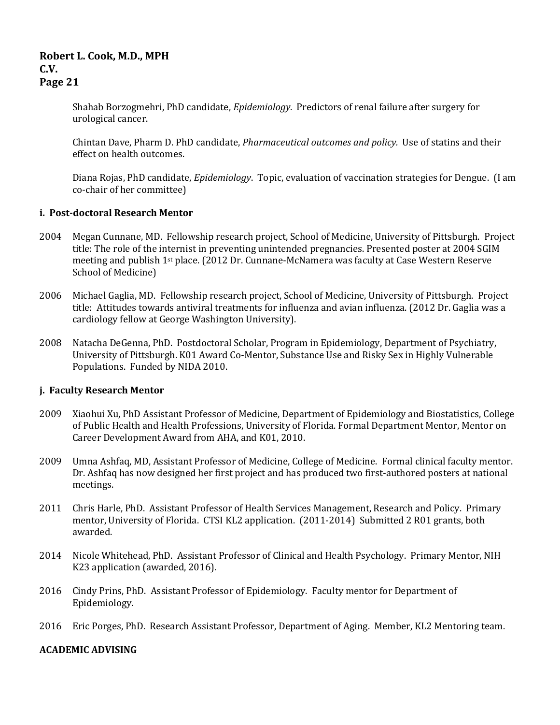Shahab Borzogmehri, PhD candidate, *Epidemiology*. Predictors of renal failure after surgery for urological cancer.

Chintan Dave, Pharm D. PhD candidate, *Pharmaceutical outcomes and policy.* Use of statins and their effect on health outcomes.

Diana Rojas, PhD candidate, *Epidemiology*. Topic, evaluation of vaccination strategies for Dengue. (I am co-chair of her committee)

### **i. Post-doctoral Research Mentor**

- 2004 Megan Cunnane, MD. Fellowship research project, School of Medicine, University of Pittsburgh. Project title: The role of the internist in preventing unintended pregnancies. Presented poster at 2004 SGIM meeting and publish 1st place. (2012 Dr. Cunnane-McNamera was faculty at Case Western Reserve School of Medicine)
- 2006 Michael Gaglia, MD. Fellowship research project, School of Medicine, University of Pittsburgh. Project title: Attitudes towards antiviral treatments for influenza and avian influenza. (2012 Dr. Gaglia was a cardiology fellow at George Washington University).
- 2008 Natacha DeGenna, PhD. Postdoctoral Scholar, Program in Epidemiology, Department of Psychiatry, University of Pittsburgh. K01 Award Co-Mentor, Substance Use and Risky Sex in Highly Vulnerable Populations. Funded by NIDA 2010.

### **j. Faculty Research Mentor**

- 2009 Xiaohui Xu, PhD Assistant Professor of Medicine, Department of Epidemiology and Biostatistics, College of Public Health and Health Professions, University of Florida. Formal Department Mentor, Mentor on Career Development Award from AHA, and K01, 2010.
- 2009 Umna Ashfaq, MD, Assistant Professor of Medicine, College of Medicine. Formal clinical faculty mentor. Dr. Ashfaq has now designed her first project and has produced two first-authored posters at national meetings.
- 2011 Chris Harle, PhD. Assistant Professor of Health Services Management, Research and Policy. Primary mentor, University of Florida. CTSI KL2 application. (2011-2014) Submitted 2 R01 grants, both awarded.
- 2014 Nicole Whitehead, PhD. Assistant Professor of Clinical and Health Psychology. Primary Mentor, NIH K23 application (awarded, 2016).
- 2016 Cindy Prins, PhD. Assistant Professor of Epidemiology. Faculty mentor for Department of Epidemiology.
- 2016 Eric Porges, PhD. Research Assistant Professor, Department of Aging. Member, KL2 Mentoring team.

### **ACADEMIC ADVISING**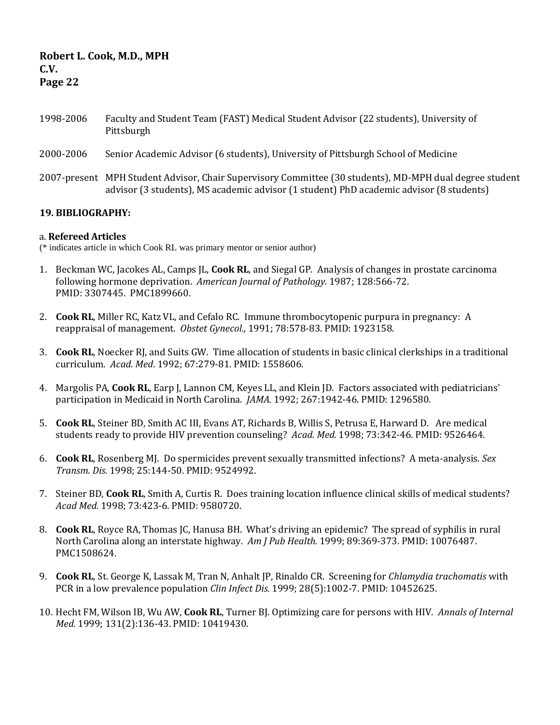- 1998-2006 Faculty and Student Team (FAST) Medical Student Advisor (22 students), University of Pittsburgh
- 2000-2006 Senior Academic Advisor (6 students), University of Pittsburgh School of Medicine
- 2007-present MPH Student Advisor, Chair Supervisory Committee (30 students), MD-MPH dual degree student advisor (3 students), MS academic advisor (1 student) PhD academic advisor (8 students)

### **19. BIBLIOGRAPHY:**

### a. **Refereed Articles**

(\* indicates article in which Cook RL was primary mentor or senior author)

- 1. Beckman WC, Jacokes AL, Camps JL, **Cook RL**, and Siegal GP. Analysis of changes in prostate carcinoma following hormone deprivation. *American Journal of Pathology.* 1987; 128:566-72. PMID: 3307445. PMC1899660.
- 2. **Cook RL**, Miller RC, Katz VL, and Cefalo RC. Immune thrombocytopenic purpura in pregnancy: A reappraisal of management. *Obstet Gynecol.,* 1991; 78:578-83. PMID: 1923158.
- 3. **Cook RL**, Noecker RJ, and Suits GW. Time allocation of students in basic clinical clerkships in a traditional curriculum. *Acad. Med*. 1992; 67:279-81. PMID: 1558606.
- 4. Margolis PA, **Cook RL**, Earp J, Lannon CM, Keyes LL, and Klein JD. Factors associated with pediatricians' participation in Medicaid in North Carolina. *JAMA.* 1992; 267:1942-46. PMID: 1296580.
- 5. **Cook RL**, Steiner BD, Smith AC III, Evans AT, Richards B, Willis S, Petrusa E, Harward D. Are medical students ready to provide HIV prevention counseling? *Acad. Med.* 1998; 73:342-46. PMID: 9526464.
- 6. **Cook RL**, Rosenberg MJ. Do spermicides prevent sexually transmitted infections? A meta-analysis. *Sex Transm. Dis.* 1998; 25:144-50. PMID: 9524992.
- 7. Steiner BD, **Cook RL**, Smith A, Curtis R. Does training location influence clinical skills of medical students? *Acad Med.* 1998; 73:423-6*.* PMID: 9580720.
- 8. **Cook RL**, Royce RA, Thomas JC, Hanusa BH. What's driving an epidemic? The spread of syphilis in rural North Carolina along an interstate highway. *Am J Pub Health.* 1999; 89:369-373. PMID: 10076487. PMC1508624.
- 9. **Cook RL**, St. George K, Lassak M, Tran N, Anhalt JP, Rinaldo CR. Screening for *Chlamydia trachomatis* with PCR in a low prevalence population *Clin Infect Dis.* 1999; 28(5):1002-7. PMID: 10452625.
- 10. Hecht FM, Wilson IB, Wu AW, **Cook RL**, Turner BJ. Optimizing care for persons with HIV. *Annals of Internal Med.* 1999; 131(2):136-43. PMID: 10419430.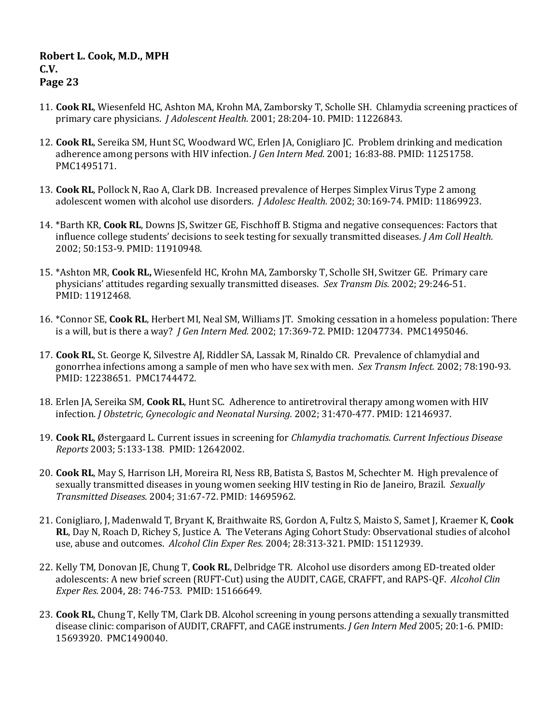- 11. **Cook RL**, Wiesenfeld HC, Ashton MA, Krohn MA, Zamborsky T, Scholle SH. Chlamydia screening practices of primary care physicians. *J Adolescent Health.* 2001; 28:204-10. PMID: 11226843.
- 12. **Cook RL**, Sereika SM, Hunt SC, Woodward WC, Erlen JA, Conigliaro JC. Problem drinking and medication adherence among persons with HIV infection. *J Gen Intern Med.* 2001; 16:83-88. PMID: 11251758. PMC1495171.
- 13. **Cook RL**, Pollock N, Rao A, Clark DB. Increased prevalence of Herpes Simplex Virus Type 2 among adolescent women with alcohol use disorders. *J Adolesc Health.* 2002; 30:169-74. PMID: 11869923.
- 14. \*Barth KR, **Cook RL**, Downs JS, Switzer GE, Fischhoff B. Stigma and negative consequences: Factors that influence college students' decisions to seek testing for sexually transmitted diseases. *J Am Coll Health.*  2002; 50:153-9. PMID: 11910948.
- 15. \*Ashton MR, **Cook RL,** Wiesenfeld HC, Krohn MA, Zamborsky T, Scholle SH, Switzer GE. Primary care physicians' attitudes regarding sexually transmitted diseases. *Sex Transm Dis.* 2002; 29:246-51. PMID: 11912468.
- 16. \*Connor SE, **Cook RL**, Herbert MI, Neal SM, Williams JT. Smoking cessation in a homeless population: There is a will, but is there a way? *J Gen Intern Med.* 2002; 17:369-72. PMID: 12047734. PMC1495046.
- 17. **Cook RL**, St. George K, Silvestre AJ, Riddler SA, Lassak M, Rinaldo CR. Prevalence of chlamydial and gonorrhea infections among a sample of men who have sex with men. *Sex Transm Infect.* 2002; 78:190-93. PMID: 12238651. PMC1744472.
- 18. Erlen JA, Sereika SM, **Cook RL**, Hunt SC. Adherence to antiretroviral therapy among women with HIV infection. *J Obstetric, Gynecologic and Neonatal Nursing.* 2002; 31:470-477. PMID: 12146937.
- 19. **Cook RL**, Østergaard L. Current issues in screening for *Chlamydia trachomatis. Current Infectious Disease Reports* 2003; 5:133-138*.* PMID: 12642002.
- 20. **Cook RL**, May S, Harrison LH, Moreira RI, Ness RB, Batista S, Bastos M, Schechter M. High prevalence of sexually transmitted diseases in young women seeking HIV testing in Rio de Janeiro, Brazil. *Sexually Transmitted Diseases.* 2004; 31:67-72. PMID: 14695962.
- 21. Conigliaro, J, Madenwald T, Bryant K, Braithwaite RS, Gordon A, Fultz S, Maisto S, Samet J, Kraemer K, **Cook RL**, Day N, Roach D, Richey S, Justice A. The Veterans Aging Cohort Study: Observational studies of alcohol use, abuse and outcomes. *Alcohol Clin Exper Res.* 2004; 28:313-321. PMID: 15112939.
- 22. Kelly TM, Donovan JE, Chung T, **Cook RL**, Delbridge TR. Alcohol use disorders among ED-treated older adolescents: A new brief screen (RUFT-Cut) using the AUDIT, CAGE, CRAFFT, and RAPS-QF. *Alcohol Clin Exper Res.* 2004, 28: 746-753. PMID: 15166649.
- 23. **Cook RL**, Chung T, Kelly TM, Clark DB. Alcohol screening in young persons attending a sexually transmitted disease clinic: comparison of AUDIT, CRAFFT, and CAGE instruments. *J Gen Intern Med* 2005; 20:1-6. PMID: 15693920. PMC1490040.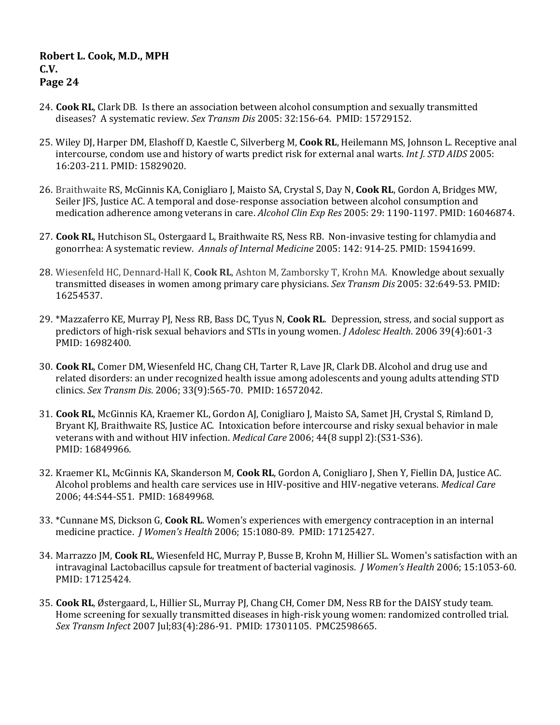- 24. **Cook RL**, Clark DB. Is there an association between alcohol consumption and sexually transmitted diseases? A systematic review. *Sex Transm Dis* 2005: 32:156-64. PMID: 15729152.
- 25. Wiley DJ, Harper DM, Elashoff D, Kaestle C, Silverberg M, **Cook RL**, Heilemann MS, Johnson L. Receptive anal intercourse, condom use and history of warts predict risk for external anal warts. *Int J. STD AIDS* 2005: 16:203-211. PMID: 15829020.
- 26. Braithwaite RS, McGinnis KA, Conigliaro J, Maisto SA, Crystal S, Day N, **Cook RL**, Gordon A, Bridges MW, Seiler JFS, Justice AC. A temporal and dose-response association between alcohol consumption and medication adherence among veterans in care. *Alcohol Clin Exp Res* 2005: 29: 1190-1197. PMID: 16046874.
- 27. **Cook RL**, Hutchison SL, Ostergaard L, Braithwaite RS, Ness RB. Non-invasive testing for chlamydia and gonorrhea: A systematic review. *Annals of Internal Medicine* 2005: 142: 914-25. PMID: 15941699.
- 28. Wiesenfeld HC, Dennard-Hall K, **Cook RL**, Ashton M, Zamborsky T, Krohn MA. Knowledge about sexually transmitted diseases in women among primary care physicians. *Sex Transm Dis* 2005: 32:649-53. PMID: 16254537.
- 29. \*Mazzaferro KE, Murray PJ, Ness RB, Bass DC, Tyus N, **Cook RL**. Depression, stress, and social support as predictors of high-risk sexual behaviors and STIs in young women. *J Adolesc Health*. 2006 39(4):601-3 PMID: 16982400.
- 30. **Cook RL**, Comer DM, Wiesenfeld HC, Chang CH, Tarter R, Lave JR, Clark DB. Alcohol and drug use and related disorders: an under recognized health issue among adolescents and young adults attending STD clinics. *Sex Transm Dis*. 2006; 33(9):565-70. PMID: 16572042.
- 31. **Cook RL**, McGinnis KA, Kraemer KL, Gordon AJ, Conigliaro J, Maisto SA, Samet JH, Crystal S, Rimland D, Bryant KJ, Braithwaite RS, Justice AC. Intoxication before intercourse and risky sexual behavior in male veterans with and without HIV infection. *Medical Care* 2006; 44(8 suppl 2):(S31-S36). PMID: 16849966.
- 32. Kraemer KL, McGinnis KA, Skanderson M, **Cook RL**, Gordon A, Conigliaro J, Shen Y, Fiellin DA, Justice AC. Alcohol problems and health care services use in HIV-positive and HIV-negative veterans. *Medical Care* 2006; 44:S44-S51. PMID: 16849968.
- 33. \*Cunnane MS, Dickson G, **Cook RL**. Women's experiences with emergency contraception in an internal medicine practice. *J Women's Health* 2006; 15:1080-89. PMID: 17125427.
- 34. Marrazzo JM, **Cook RL**, Wiesenfeld HC, Murray P, Busse B, Krohn M, Hillier SL. Women's satisfaction with an intravaginal Lactobacillus capsule for treatment of bacterial vaginosis. *J Women's Health* 2006; 15:1053-60. PMID: 17125424.
- 35. **Cook RL**, Østergaard, L, Hillier SL, Murray PJ, Chang CH, Comer DM, Ness RB for the DAISY study team. Home screening for sexually transmitted diseases in high-risk young women: randomized controlled trial. *Sex Transm Infect* 2007 Jul;83(4):286-91. PMID: 17301105. PMC2598665.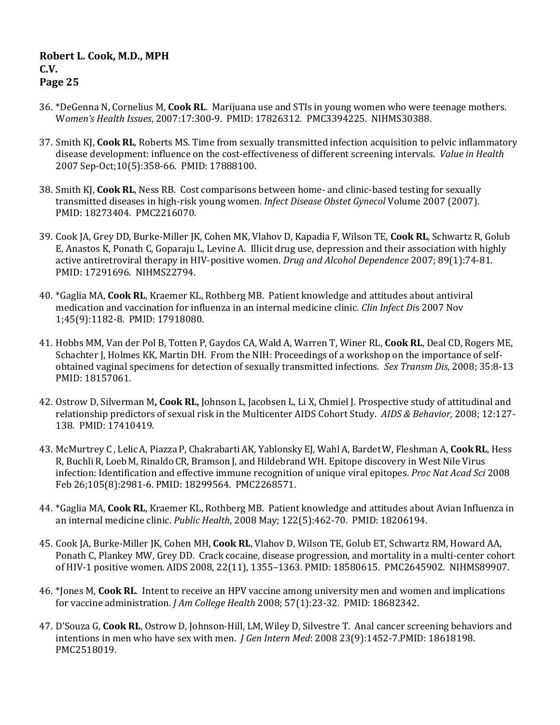- 36. \*DeGenna N, Cornelius M, **Cook RL**. Marijuana use and STIs in young women who were teenage mothers. W*omen's Health Issues*, 2007:17:300-9. PMID: 17826312. PMC3394225. NIHMS30388.
- 37. Smith KJ, **Cook RL**, Roberts MS. Time from sexually transmitted infection acquisition to pelvic inflammatory disease development: influence on the cost-effectiveness of different screening intervals. *Value in Health*  2007 Sep-Oct;10(5):358-66. PMID: 17888100.
- 38. Smith KJ, **Cook RL**, Ness RB. Cost comparisons between home- and clinic-based testing for sexually transmitted diseases in high-risk young women. *Infect Disease Obstet Gynecol* Volume 2007 (2007). PMID: 18273404. PMC2216070.
- 39. Cook JA, Grey DD, Burke-Miller JK, Cohen MK, Vlahov D, Kapadia F, Wilson TE, **Cook RL**, Schwartz R, Golub E, Anastos K, Ponath C, Goparaju L, Levine A. Illicit drug use, depression and their association with highly active antiretroviral therapy in HIV-positive women. *Drug and Alcohol Dependence* 2007; 89(1):74-81. PMID: 17291696. NIHMS22794.
- 40. \*Gaglia MA, **Cook RL**, Kraemer KL, Rothberg MB. Patient knowledge and attitudes about antiviral medication and vaccination for influenza in an internal medicine clinic. *Clin Infect Di*s 2007 Nov 1;45(9):1182-8. PMID: 17918080.
- 41. Hobbs MM, Van der Pol B, Totten P, Gaydos CA, Wald A, Warren T, Winer RL, **Cook RL**, Deal CD, Rogers ME, Schachter J, Holmes KK, Martin DH. From the NIH: Proceedings of a workshop on the importance of selfobtained vaginal specimens for detection of sexually transmitted infections. *Sex Transm Dis*, 2008; 35:8-13 PMID: 18157061.
- 42. Ostrow D, Silverman M**, Cook RL,** Johnson L, Jacobsen L, Li X, Chmiel J. Prospective study of attitudinal and relationship predictors of sexual risk in the Multicenter AIDS Cohort Study. *AIDS & Behavior,* 2008; 12:127- 138. PMID: 17410419.
- 43. McMurtrey C , LelicA, Piazza P, ChakrabartiAK, YablonskyEJ, WahlA, BardetW, Fleshman A, **CookRL**, Hess R, BuchliR, Loeb M, Rinaldo CR, Bramson J, and Hildebrand WH. Epitope discovery in West Nile Virus infection: Identification and effective immune recognition of unique viral epitopes. *Proc Nat Acad Sci* 2008 Feb 26;105(8):2981-6. PMID: 18299564. PMC2268571.
- 44. \*Gaglia MA, **Cook RL**, Kraemer KL, Rothberg MB. Patient knowledge and attitudes about Avian Influenza in an internal medicine clinic. *Public Health*, 2008 May; 122(5):462-70. PMID: 18206194.
- 45. Cook JA, Burke-Miller JK, Cohen MH, **Cook RL**, Vlahov D, Wilson TE, Golub ET, Schwartz RM, Howard AA, Ponath C, Plankey MW, Grey DD. Crack cocaine, disease progression, and mortality in a multi-center cohort of HIV-1 positive women. AIDS 2008, 22(11), 1355–1363. PMID: 18580615. PMC2645902. NIHMS89907.
- 46. \*Jones M, **Cook RL**. Intent to receive an HPV vaccine among university men and women and implications for vaccine administration. *J Am College Health* 2008; 57(1):23-32. PMID: 18682342.
- 47. D'Souza G, **Cook RL**, Ostrow D, Johnson-Hill, LM, Wiley D, Silvestre T. Anal cancer screening behaviors and intentions in men who have sex with men. *J Gen Intern Med*: 2008 23(9):1452-7.PMID: 18618198. PMC2518019.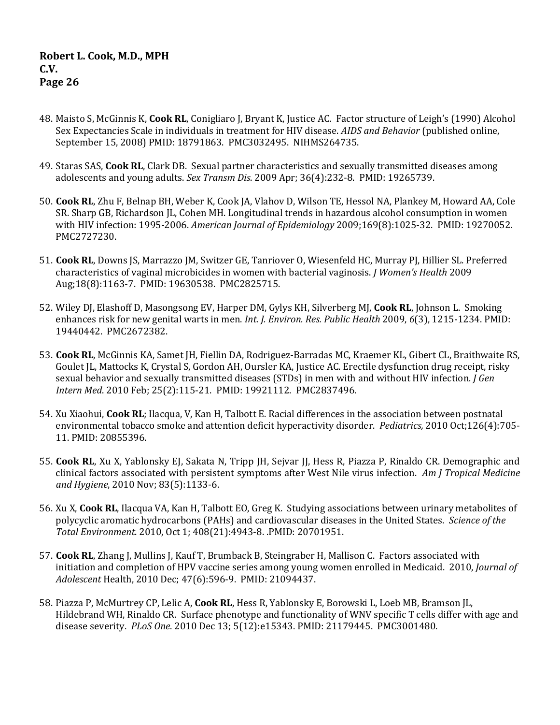- 48. Maisto S, McGinnis K, **Cook RL**, Conigliaro J, Bryant K, Justice AC. Factor structure of Leigh's (1990) Alcohol Sex Expectancies Scale in individuals in treatment for HIV disease. *AIDS and Behavior* (published online, September 15, 2008) PMID: 18791863. PMC3032495. NIHMS264735.
- 49. Staras SAS, **Cook RL**, Clark DB. Sexual partner characteristics and sexually transmitted diseases among adolescents and young adults. *Sex Transm Dis*. 2009 Apr; 36(4):232-8. PMID: 19265739.
- 50. **Cook RL**, Zhu F, Belnap BH, Weber K, Cook JA, Vlahov D, Wilson TE, Hessol NA, Plankey M, Howard AA, Cole SR. Sharp GB, Richardson JL, Cohen MH. Longitudinal trends in hazardous alcohol consumption in women with HIV infection: 1995-2006. *American Journal of Epidemiology* 2009;169(8):1025-32. PMID: 19270052. PMC2727230.
- 51. **Cook RL**, Downs JS, Marrazzo JM, Switzer GE, Tanriover O, Wiesenfeld HC, Murray PJ, Hillier SL. Preferred characteristics of vaginal microbicides in women with bacterial vaginosis. *J Women's Health* 2009 Aug;18(8):1163-7. PMID: 19630538. PMC2825715.
- 52. Wiley DJ, Elashoff D, Masongsong EV, Harper DM, Gylys KH, Silverberg MJ, **Cook RL**, Johnson L. Smoking enhances risk for new genital warts in men. *Int. J. Environ. Res. Public Health* 2009, *6*(3), 1215-1234. PMID: 19440442. PMC2672382.
- 53. **Cook RL**, McGinnis KA, Samet JH, Fiellin DA, Rodriguez-Barradas MC, Kraemer KL, Gibert CL, Braithwaite RS, Goulet JL, Mattocks K, Crystal S, Gordon AH, Oursler KA, Justice AC. Erectile dysfunction drug receipt, risky sexual behavior and sexually transmitted diseases (STDs) in men with and without HIV infection*. J Gen Intern Med*. 2010 Feb; 25(2):115-21. PMID: 19921112. PMC2837496.
- 54. Xu Xiaohui, **Cook RL**; Ilacqua, V, Kan H, Talbott E. Racial differences in the association between postnatal environmental tobacco smoke and attention deficit hyperactivity disorder. *Pediatrics,* 2010 Oct;126(4):705- 11. PMID: 20855396.
- 55. **Cook RL**, Xu X, Yablonsky EJ, Sakata N, Tripp JH, Sejvar JJ, Hess R, Piazza P, Rinaldo CR. Demographic and clinical factors associated with persistent symptoms after West Nile virus infection. *Am J Tropical Medicine and Hygiene*, 2010 Nov; 83(5):1133-6.
- 56. Xu X, **Cook RL**, Ilacqua VA, Kan H, Talbott EO, Greg K. Studying associations between urinary metabolites of polycyclic aromatic hydrocarbons (PAHs) and cardiovascular diseases in the United States. *Science of the Total Environment*. 2010, Oct 1; 408(21):4943-8. .PMID: 20701951.
- 57. **Cook RL**, Zhang J, Mullins J, Kauf T, Brumback B, Steingraber H, Mallison C. Factors associated with initiation and completion of HPV vaccine series among young women enrolled in Medicaid. 2010, *Journal of Adolescent* Health, 2010 Dec; 47(6):596-9. PMID: 21094437.
- 58. Piazza P, McMurtrey CP, Lelic A, **Cook RL**, Hess R, Yablonsky E, Borowski L, Loeb MB, Bramson JL, Hildebrand WH, Rinaldo CR. [Surface phenotype and functionality of WNV specific T cells differ with age and](http://www.ncbi.nlm.nih.gov/pubmed/21179445)  [disease severity.](http://www.ncbi.nlm.nih.gov/pubmed/21179445) *PLoS One*. 2010 Dec 13; 5(12):e15343. PMID: 21179445. PMC3001480.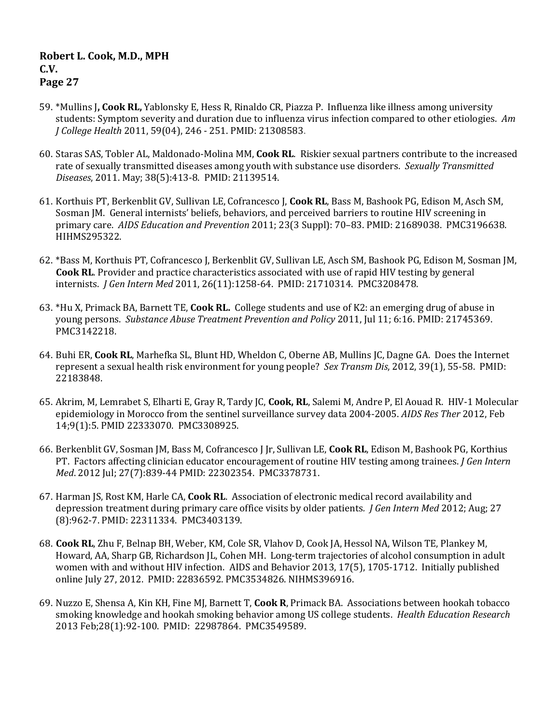- 59. \*Mullins J**, Cook RL,** Yablonsky E, Hess R, Rinaldo CR, Piazza P.Influenza like illness among university students: Symptom severity and duration due to influenza virus infection compared to other etiologies. *Am J College Health* 2011, 59(04), 246 - 251. PMID: 21308583.
- 60. Staras SAS, Tobler AL, Maldonado-Molina MM, **Cook RL**. Riskier sexual partners contribute to the increased rate of sexually transmitted diseases among youth with substance use disorders. *Sexually Transmitted Diseases*, 2011. May; 38(5):413-8. PMID: 21139514.
- 61. Korthuis PT, Berkenblit GV, Sullivan LE, Cofrancesco J, **Cook RL**, Bass M, Bashook PG, Edison M, Asch SM, Sosman JM. General internists' beliefs, behaviors, and perceived barriers to routine HIV screening in primary care. *AIDS Education and Prevention* 2011; 23(3 Suppl): 70–83. PMID: 21689038. PMC3196638. HIHMS295322.
- 62. \*Bass M, Korthuis PT, Cofrancesco J, Berkenblit GV, Sullivan LE, Asch SM, Bashook PG, Edison M, Sosman JM, **Cook RL**. Provider and practice characteristics associated with use of rapid HIV testing by general internists. *J Gen Intern Med* 2011, 26(11):1258-64. PMID: 21710314. PMC3208478.
- 63. \*Hu X, Primack BA, Barnett TE, **Cook RL.** College students and use of K2: an emerging drug of abuse in young persons. *Substance Abuse Treatment Prevention and Policy* 2011, Jul 11; 6:16. PMID: 21745369. PMC3142218.
- 64. Buhi ER, **Cook RL**, Marhefka SL, Blunt HD, Wheldon C, Oberne AB, Mullins JC, Dagne GA. Does the Internet represent a sexual health risk environment for young people? *Sex Transm Dis*, 2012, 39(1), 55-58. PMID: 22183848.
- 65. Akrim, M, Lemrabet S, Elharti E, Gray R, Tardy JC, **Cook, RL**, Salemi M, Andre P, El Aouad R. HIV-1 Molecular epidemiology in Morocco from the sentinel surveillance survey data 2004-2005. *AIDS Res Ther* 2012, Feb 14;9(1):5. PMID 22333070. PMC3308925.
- 66. Berkenblit GV, Sosman JM, Bass M, Cofrancesco J Jr, Sullivan LE, **Cook RL**, Edison M, Bashook PG, Korthius PT. Factors affecting clinician educator encouragement of routine HIV testing among trainees. *J Gen Intern Med*. 2012 Jul; 27(7):839-44 PMID: 22302354. PMC3378731.
- 67. Harman JS, Rost KM, Harle CA, **Cook RL**. Association of electronic medical record availability and depression treatment during primary care office visits by older patients*. J Gen Intern Med* 2012; Aug; 27 (8):962-7. PMID: 22311334. PMC3403139.
- 68. **Cook RL**, Zhu F, Belnap BH, Weber, KM, Cole SR, Vlahov D, Cook JA, Hessol NA, Wilson TE, Plankey M, Howard, AA, Sharp GB, Richardson JL, Cohen MH. Long-term trajectories of alcohol consumption in adult women with and without HIV infection. AIDS and Behavior 2013, 17(5), 1705-1712. Initially published online July 27, 2012. PMID: 22836592. PMC3534826. NIHMS396916.
- 69. Nuzzo E, Shensa A, Kin KH, Fine MJ, Barnett T, **Cook R**, Primack BA. Associations between hookah tobacco smoking knowledge and hookah smoking behavior among US college students. *Health Education Research* 2013 Feb;28(1):92-100. PMID: 22987864. PMC3549589.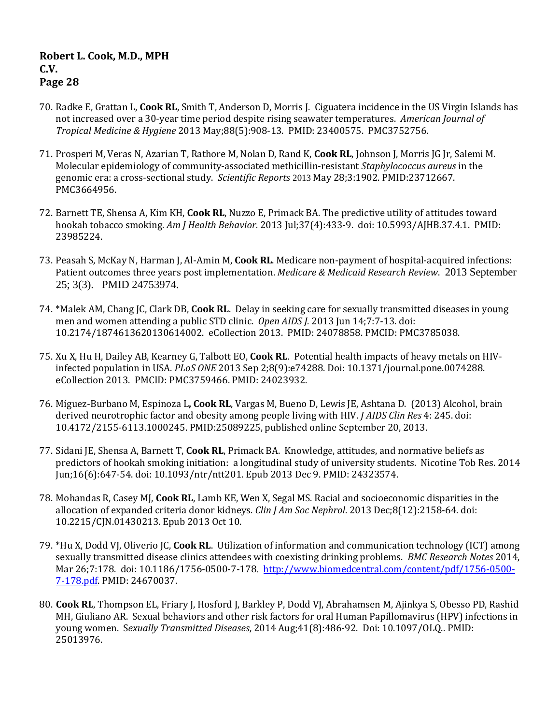- 70. Radke E, Grattan L, **Cook RL**, Smith T, Anderson D, Morris J. Ciguatera incidence in the US Virgin Islands has not increased over a 30-year time period despite rising seawater temperatures. *American Journal of Tropical Medicine & Hygiene* 2013 May;88(5):908-13. PMID: 23400575. PMC3752756.
- 71. [Prosperi M,](http://www.ncbi.nlm.nih.gov/pubmed?term=Prosperi%20M%5BAuthor%5D&cauthor=true&cauthor_uid=23712667) [Veras N,](http://www.ncbi.nlm.nih.gov/pubmed?term=Veras%20N%5BAuthor%5D&cauthor=true&cauthor_uid=23712667) [Azarian T,](http://www.ncbi.nlm.nih.gov/pubmed?term=Azarian%20T%5BAuthor%5D&cauthor=true&cauthor_uid=23712667) [Rathore M,](http://www.ncbi.nlm.nih.gov/pubmed?term=Rathore%20M%5BAuthor%5D&cauthor=true&cauthor_uid=23712667) [Nolan D,](http://www.ncbi.nlm.nih.gov/pubmed?term=Nolan%20D%5BAuthor%5D&cauthor=true&cauthor_uid=23712667) [Rand K,](http://www.ncbi.nlm.nih.gov/pubmed?term=Rand%20K%5BAuthor%5D&cauthor=true&cauthor_uid=23712667) **[Cook RL](http://www.ncbi.nlm.nih.gov/pubmed?term=Cook%20RL%5BAuthor%5D&cauthor=true&cauthor_uid=23712667)**[, Johnson J,](http://www.ncbi.nlm.nih.gov/pubmed?term=Johnson%20J%5BAuthor%5D&cauthor=true&cauthor_uid=23712667) [Morris JG Jr,](http://www.ncbi.nlm.nih.gov/pubmed?term=Morris%20JG%20Jr%5BAuthor%5D&cauthor=true&cauthor_uid=23712667) [Salemi M.](http://www.ncbi.nlm.nih.gov/pubmed?term=Salemi%20M%5BAuthor%5D&cauthor=true&cauthor_uid=23712667) Molecular epidemiology of community-associated methicillin-resistant *Staphylococcus aureus* in the genomic era: a cross-sectional study. *Scientific Reports* 2013 May 28;3:1902. PMID:23712667. PMC3664956.
- 72. Barnett TE, Shensa A, Kim KH, **Cook RL**, Nuzzo E, Primack BA. The predictive utility of attitudes toward hookah tobacco smoking. *Am J Health Behavior.* 2013 Jul;37(4):433-9. doi: 10.5993/AJHB.37.4.1. PMID: 23985224.
- 73. Peasah S, McKay N, Harman J, Al-Amin M, **Cook RL**. Medicare non-payment of hospital-acquired infections: Patient outcomes three years post implementation. *Medicare & Medicaid Research Review*. 2013 September 25; 3(3). PMID 24753974.
- 74. \*Malek AM, Chang JC, Clark DB, **Cook RL**. Delay in seeking care for sexually transmitted diseases in young men and women attending a public STD clinic. *Open AIDS J.* 2013 Jun 14;7:7-13. doi: 10.2174/1874613620130614002. eCollection 2013. PMID: 24078858. PMCID: PMC3785038.
- 75. Xu X, Hu H, Dailey AB, Kearney G, Talbott EO, **Cook RL**. Potential health impacts of heavy metals on HIVinfected population in USA. *PLoS ONE* 2013 Sep 2;8(9):e74288. Doi: 10.1371/journal.pone.0074288. eCollection 2013. PMCID: PMC3759466. PMID: 24023932.
- 76. Míguez-Burbano M, Espinoza L**, Cook RL**, Vargas M, Bueno D, Lewis JE, Ashtana D. (2013) Alcohol, brain derived neurotrophic factor and obesity among people living with HIV. *J AIDS Clin Res* 4: 245. doi: 10.4172/2155-6113.1000245. PMID:25089225, published online September 20, 2013.
- 77. Sidani JE, Shensa A, Barnett T, **Cook RL**, Primack BA. Knowledge, attitudes, and normative beliefs as predictors of hookah smoking initiation: a longitudinal study of university students. Nicotine Tob Res. 2014 Jun;16(6):647-54. doi: 10.1093/ntr/ntt201. Epub 2013 Dec 9. PMID: 24323574.
- 78. Mohandas R, Casey MJ, **Cook RL**, Lamb KE, Wen X, Segal MS. Racial and socioeconomic disparities in the allocation of expanded criteria donor kidneys. *[Clin J Am Soc Nephrol](http://www.ncbi.nlm.nih.gov/pubmed/24115196)*. 2013 Dec;8(12):2158-64. doi: 10.2215/CJN.01430213. Epub 2013 Oct 10.
- 79. \*Hu X, Dodd VJ, Oliverio JC, **Cook RL**. Utilization of information and communication technology (ICT) among sexually transmitted disease clinics attendees with coexisting drinking problems. *BMC Research Notes* 2014, Mar 26;7:178. doi: 10.1186/1756-0500-7-178. [http://www.biomedcentral.com/content/pdf/1756-0500-](http://www.biomedcentral.com/content/pdf/1756-0500-7-178.pdf) [7-178.pdf.](http://www.biomedcentral.com/content/pdf/1756-0500-7-178.pdf) PMID: 24670037.
- 80. **Cook RL**, Thompson EL, Friary J, Hosford J, Barkley P, Dodd VJ, Abrahamsen M, Ajinkya S, Obesso PD, Rashid MH, Giuliano AR. Sexual behaviors and other risk factors for oral Human Papillomavirus (HPV) infections in young women. S*exually Transmitted Diseases*, 2014 Aug;41(8):486-92. Doi: 10.1097/OLQ.. PMID: 25013976.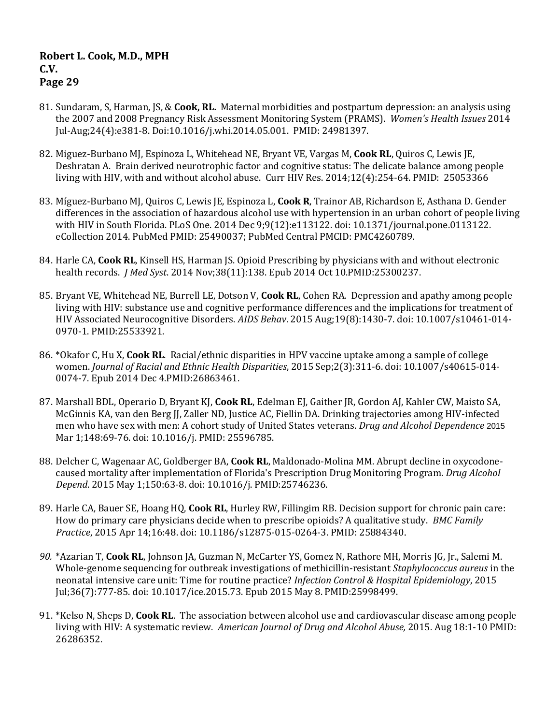- 81. Sundaram, S, Harman, JS, & **Cook, RL.** Maternal morbidities and postpartum depression: an analysis using the 2007 and 2008 Pregnancy Risk Assessment Monitoring System (PRAMS). *Women's Health Issues* 2014 Jul-Aug;24(4):e381-8. Doi:10.1016/j.whi.2014.05.001. PMID: 24981397.
- 82. Miguez-Burbano MJ, Espinoza L, Whitehead NE, Bryant VE, Vargas M, **Cook RL**, Quiros C, Lewis JE, Deshratan A. [Brain derived neurotrophic factor and cognitive status: The delicate balance among people](http://www.ncbi.nlm.nih.gov/pubmed/25053366)  [living with HIV, with and without alcohol abuse.](http://www.ncbi.nlm.nih.gov/pubmed/25053366) Curr HIV Res. 2014;12(4):254-64. PMID: 25053366
- 83. Míguez-Burbano MJ, Quiros C, Lewis JE, Espinoza L, **Cook R**, Trainor AB, Richardson E, Asthana D. Gender differences in the association of hazardous alcohol use with hypertension in an urban cohort of people living with HIV in South Florida. PLoS One. 2014 Dec 9;9(12):e113122. doi: 10.1371/journal.pone.0113122. eCollection 2014. PubMed PMID: 25490037; PubMed Central PMCID: PMC4260789.
- 84. Harle CA, **Cook RL**, Kinsell HS, Harman JS. Opioid Prescribing by physicians with and without electronic health records. *J Med Syst*. 2014 Nov;38(11):138. Epub 2014 Oct 10.PMID:25300237.
- 85. Bryant VE, Whitehead NE, Burrell LE, Dotson V, **Cook RL**, Cohen RA. Depression and apathy among people living with HIV: substance use and cognitive performance differences and the implications for treatment of HIV Associated Neurocognitive Disorders. *AIDS Behav*. 2015 Aug;19(8):1430-7. doi: 10.1007/s10461-014- 0970-1. PMID:25533921.
- 86. \*Okafor C, Hu X, **Cook RL**. Racial/ethnic disparities in HPV vaccine uptake among a sample of college women. *Journal of Racial and Ethnic Health Disparities*, 2015 Sep;2(3):311-6. doi: 10.1007/s40615-014- 0074-7. Epub 2014 Dec 4.PMID:26863461.
- 87. Marshall BDL, Operario D, Bryant KJ, **Cook RL**, Edelman EJ, Gaither JR, Gordon AJ, Kahler CW, Maisto SA, McGinnis KA, van den Berg JJ, Zaller ND, Justice AC, Fiellin DA. Drinking trajectories among HIV-infected men who have sex with men: A cohort study of United States veterans. *Drug and Alcohol Dependence* 2015 Mar 1;148:69-76. doi: 10.1016/j. PMID: 25596785.
- 88. [Delcher C,](http://www.ncbi.nlm.nih.gov/pubmed/?term=Delcher%20C%5BAuthor%5D&cauthor=true&cauthor_uid=25746236) [Wagenaar AC,](http://www.ncbi.nlm.nih.gov/pubmed/?term=Wagenaar%20AC%5BAuthor%5D&cauthor=true&cauthor_uid=25746236) [Goldberger BA,](http://www.ncbi.nlm.nih.gov/pubmed/?term=Goldberger%20BA%5BAuthor%5D&cauthor=true&cauthor_uid=25746236) **[Cook RL](http://www.ncbi.nlm.nih.gov/pubmed/?term=Cook%20RL%5BAuthor%5D&cauthor=true&cauthor_uid=25746236)**, [Maldonado-Molina MM.](http://www.ncbi.nlm.nih.gov/pubmed/?term=Maldonado-Molina%20MM%5BAuthor%5D&cauthor=true&cauthor_uid=25746236) Abrupt decline in oxycodonecaused mortality after implementation of Florida's Prescription Drug Monitoring Program. *[Drug Alcohol](http://www.ncbi.nlm.nih.gov/pubmed/25746236)  [Depend](http://www.ncbi.nlm.nih.gov/pubmed/25746236)*. 2015 May 1;150:63-8. doi: 10.1016/j. PMID:25746236.
- 89. Harle CA, Bauer SE, Hoang HQ, **Cook RL**, Hurley RW, Fillingim RB. Decision support for chronic pain care: How do primary care physicians decide when to prescribe opioids? A qualitative study. *BMC Family Practice*, 2015 Apr 14;16:48. doi: 10.1186/s12875-015-0264-3. PMID: 25884340.
- *90.* \*Azarian T, **Cook RL**, Johnson JA, Guzman N, McCarter YS, Gomez N, Rathore MH, Morris JG, Jr., Salemi M. Whole-genome sequencing for outbreak investigations of methicillin-resistant *Staphylococcus aureus* in the neonatal intensive care unit: Time for routine practice? *Infection Control & Hospital Epidemiology*, 2015 Jul;36(7):777-85. doi: 10.1017/ice.2015.73. Epub 2015 May 8. PMID:25998499.
- 91. \*Kelso N, Sheps D, **Cook RL**. The association between alcohol use and cardiovascular disease among people living with HIV: A systematic review. *American Journal of Drug and Alcohol Abuse,* 2015. Aug 18:1-10 PMID: 26286352.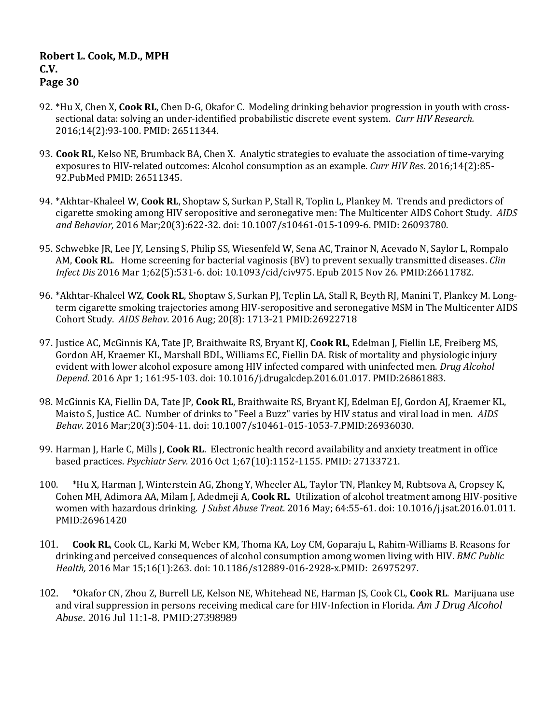- 92. \*Hu X, Chen X, **Cook RL**, Chen D-G, Okafor C. Modeling drinking behavior progression in youth with crosssectional data: solving an under-identified probabilistic discrete event system. *Curr HIV Research.*  2016;14(2):93-100. PMID: 26511344.
- 93. **Cook RL**, Kelso NE, Brumback BA, Chen X. Analytic strategies to evaluate the association of time-varying exposures to HIV-related outcomes: Alcohol consumption as an example. *Curr HIV Res*. 2016;14(2):85- 92.PubMed PMID: 26511345.
- 94. \*Akhtar-Khaleel W, **Cook RL**, Shoptaw S, Surkan P, Stall R, Toplin L, Plankey M. Trends and predictors of cigarette smoking among HIV seropositive and seronegative men: The Multicenter AIDS Cohort Study. *AIDS and Behavior,* 2016 Mar;20(3):622-32. doi: 10.1007/s10461-015-1099-6. PMID: 26093780.
- 95. Schwebke JR, Lee JY, Lensing S, Philip SS, Wiesenfeld W, Sena AC, Trainor N, Acevado N, Saylor L, Rompalo AM, **Cook RL**. Home screening for bacterial vaginosis (BV) to prevent sexually transmitted diseases. *Clin Infect Dis* 2016 Mar 1;62(5):531-6. doi: 10.1093/cid/civ975. Epub 2015 Nov 26. PMID:26611782.
- 96. \*Akhtar-Khaleel WZ, **Cook RL**, Shoptaw S, Surkan PJ, Teplin LA, Stall R, Beyth RJ, Manini T, Plankey M. Longterm cigarette smoking trajectories among HIV-seropositive and seronegative MSM in The Multicenter AIDS Cohort Study. *AIDS Behav*. 2016 Aug; 20(8): 1713-21 PMID:26922718
- 97. Justice AC, McGinnis KA, Tate JP, Braithwaite RS, Bryant KJ, **Cook RL**, Edelman J, Fiellin LE, Freiberg MS, Gordon AH, Kraemer KL, Marshall BDL, Williams EC, Fiellin DA. Risk of mortality and physiologic injury evident with lower alcohol exposure among HIV infected compared with uninfected men. *Drug Alcohol Depend*. 2016 Apr 1; 161:95-103. doi: 10.1016/j.drugalcdep.2016.01.017. PMID:26861883.
- 98. McGinnis KA, Fiellin DA, Tate JP, **Cook RL**, Braithwaite RS, Bryant KJ, Edelman EJ, Gordon AJ, Kraemer KL, Maisto S, Justice AC. Number of drinks to "Feel a Buzz" varies by HIV status and viral load in men. *AIDS Behav*. 2016 Mar;20(3):504-11. doi: 10.1007/s10461-015-1053-7.PMID:26936030.
- 99. Harman J, Harle C, Mills J, **Cook RL**. Electronic health record availability and anxiety treatment in office based practices. *Psychiatr Serv.* 2016 Oct 1;67(10):1152-1155. PMID: 27133721.
- 100. \*Hu X, Harman J, Winterstein AG, Zhong Y, Wheeler AL, Taylor TN, Plankey M, Rubtsova A, Cropsey K, Cohen MH, Adimora AA, Milam J, Adedmeji A, **Cook RL**. Utilization of alcohol treatment among HIV-positive women with hazardous drinking. *J Subst Abuse Treat*. 2016 May; 64:55-61. doi: 10.1016/j.jsat.2016.01.011. PMID:26961420
- 101. **Cook RL**, Cook CL, Karki M, Weber KM, Thoma KA, Loy CM, Goparaju L, Rahim-Williams B. Reasons for drinking and perceived consequences of alcohol consumption among women living with HIV. *BMC Public Health,* 2016 Mar 15;16(1):263. doi: 10.1186/s12889-016-2928-x.PMID: 26975297.
- 102. \*Okafor CN, Zhou Z, Burrell LE, Kelson NE, Whitehead NE, Harman JS, Cook CL, **Cook RL**. Marijuana use and viral suppression in persons receiving medical care for HIV-Infection in Florida. *Am J Drug Alcohol Abuse*. 2016 Jul 11:1-8. PMID:27398989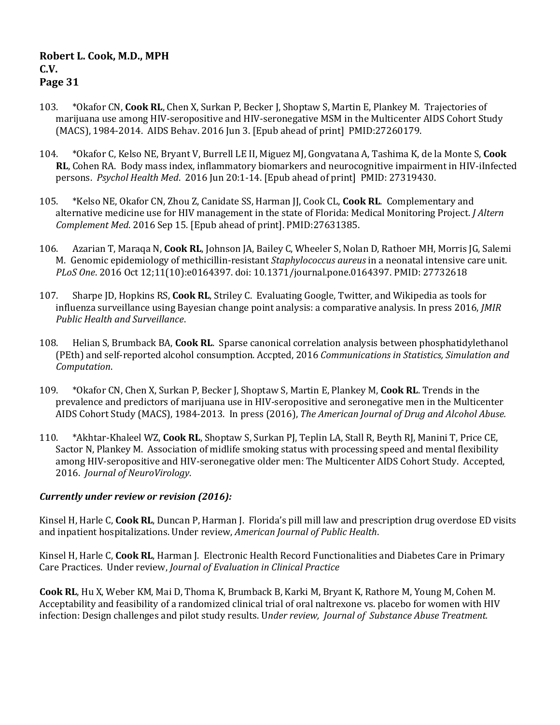- 103. \*Okafor CN, **Cook RL**, Chen X, Surkan P, Becker J, Shoptaw S, Martin E, Plankey M. Trajectories of marijuana use among HIV-seropositive and HIV-seronegative MSM in the Multicenter AIDS Cohort Study (MACS), 1984-2014. AIDS Behav. 2016 Jun 3. [Epub ahead of print] PMID:27260179.
- 104. \*Okafor C, Kelso NE, Bryant V, Burrell LE II, Miguez MJ, Gongvatana A, Tashima K, de la Monte S, **Cook RL**, Cohen RA. Body mass index, inflammatory biomarkers and neurocognitive impairment in HIV-iInfected persons. *Psychol Health Med*. 2016 Jun 20:1-14. [Epub ahead of print] PMID: 27319430.
- 105. \*Kelso NE, Okafor CN, Zhou Z, Canidate SS, Harman JJ, Cook CL, **Cook RL**. Complementary and alternative medicine use for HIV management in the state of Florida: Medical Monitoring Project. *J Altern Complement Med*. 2016 Sep 15. [Epub ahead of print]. PMID:27631385.
- 106. Azarian T, Maraqa N, **Cook RL**, Johnson JA, Bailey C, Wheeler S, Nolan D, Rathoer MH, Morris JG, Salemi M. Genomic epidemiology of methicillin-resistant *Staphylococcus aureus* in a neonatal intensive care unit. *PLoS One*. 2016 Oct 12;11(10):e0164397. doi: 10.1371/journal.pone.0164397. PMID: 27732618
- 107. Sharpe JD, Hopkins RS, **Cook RL**, Striley C. Evaluating Google, Twitter, and Wikipedia as tools for influenza surveillance using Bayesian change point analysis: a comparative analysis. In press 2016, *JMIR Public Health and Surveillance*.
- 108. Helian S, Brumback BA, **Cook RL**. Sparse canonical correlation analysis between phosphatidylethanol (PEth) and self-reported alcohol consumption. Accpted, 2016 *Communications in Statistics, Simulation and Computation*.
- 109. \*Okafor CN, Chen X, Surkan P, Becker J, Shoptaw S, Martin E, Plankey M, **Cook RL**. Trends in the prevalence and predictors of marijuana use in HIV-seropositive and seronegative men in the Multicenter AIDS Cohort Study (MACS), 1984-2013. In press (2016), *The American Journal of Drug and Alcohol Abuse.*
- 110. \*Akhtar-Khaleel WZ, **Cook RL**, Shoptaw S, Surkan PJ, Teplin LA, Stall R, Beyth RJ, Manini T, Price CE, Sactor N, Plankey M. Association of midlife smoking status with processing speed and mental flexibility among HIV-seropositive and HIV-seronegative older men: The Multicenter AIDS Cohort Study. Accepted, 2016. *Journal of NeuroVirology*.

### *Currently under review or revision (2016):*

Kinsel H, Harle C, **Cook RL**, Duncan P, Harman J. Florida's pill mill law and prescription drug overdose ED visits and inpatient hospitalizations. Under review, *American Journal of Public Health*.

Kinsel H, Harle C, **Cook RL**, Harman J. Electronic Health Record Functionalities and Diabetes Care in Primary Care Practices. Under review, *Journal of Evaluation in Clinical Practice*

**Cook RL**, Hu X, Weber KM, Mai D, Thoma K, Brumback B, Karki M, Bryant K, Rathore M, Young M, Cohen M. Acceptability and feasibility of a randomized clinical trial of oral naltrexone vs. placebo for women with HIV infection: Design challenges and pilot study results. U*nder review, Journal of Substance Abuse Treatment.*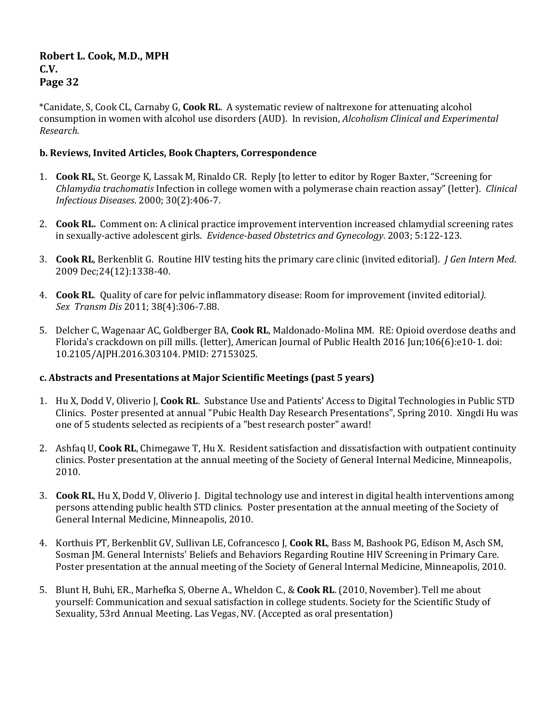\*Canidate, S, Cook CL, Carnaby G, **Cook RL**. A systematic review of naltrexone for attenuating alcohol consumption in women with alcohol use disorders (AUD). In revision, *Alcoholism Clinical and Experimental Research.* 

## **b. Reviews, Invited Articles, Book Chapters, Correspondence**

- 1. **Cook RL**, St. George K, Lassak M, Rinaldo CR. Reply [to letter to editor by Roger Baxter, "Screening for *Chlamydia trachomatis* Infection in college women with a polymerase chain reaction assay" (letter). *Clinical Infectious Diseases*. 2000; 30(2):406-7.
- 2. **Cook RL.** Comment on: A clinical practice improvement intervention increased chlamydial screening rates in sexually-active adolescent girls. *Evidence-based Obstetrics and Gynecology*. 2003; 5:122-123.
- 3. **Cook RL**, Berkenblit G. Routine HIV testing hits the primary care clinic (invited editorial). *J Gen Intern Med*. 2009 Dec;24(12):1338-40.
- 4. **Cook RL**. Quality of care for pelvic inflammatory disease: Room for improvement (invited editorial*). Sex Transm Dis* 2011; 38(4):306-7.88.
- 5. Delcher C, Wagenaar AC, Goldberger BA, **Cook RL**, Maldonado-Molina MM. RE: Opioid overdose deaths and Florida's crackdown on pill mills. (letter), American Journal of Public Health 2016 Jun;106(6):e10-1. doi: 10.2105/AJPH.2016.303104. PMID: 27153025.

# **c. Abstracts and Presentations at Major Scientific Meetings (past 5 years)**

- 1. Hu X, Dodd V, Oliverio J, **Cook RL**. Substance Use and Patients' Access to Digital Technologies in Public STD Clinics. Poster presented at annual "Pubic Health Day Research Presentations", Spring 2010. Xingdi Hu was one of 5 students selected as recipients of a "best research poster" award!
- 2. Ashfaq U, **Cook RL**, Chimegawe T, Hu X. Resident satisfaction and dissatisfaction with outpatient continuity clinics. Poster presentation at the annual meeting of the Society of General Internal Medicine, Minneapolis, 2010.
- 3. **Cook RL**, Hu X, Dodd V, Oliverio J. Digital technology use and interest in digital health interventions among persons attending public health STD clinics. Poster presentation at the annual meeting of the Society of General Internal Medicine, Minneapolis, 2010.
- 4. Korthuis PT, Berkenblit GV, Sullivan LE, Cofrancesco J, **Cook RL**, Bass M, Bashook PG, Edison M, Asch SM, Sosman JM. General Internists' Beliefs and Behaviors Regarding Routine HIV Screening in Primary Care. Poster presentation at the annual meeting of the Society of General Internal Medicine, Minneapolis, 2010.
- 5. Blunt H, Buhi, ER., Marhefka S, Oberne A., Wheldon C., & **Cook RL**. (2010, November). Tell me about yourself: Communication and sexual satisfaction in college students. Society for the Scientific Study of Sexuality, 53rd Annual Meeting. Las Vegas, NV. (Accepted as oral presentation)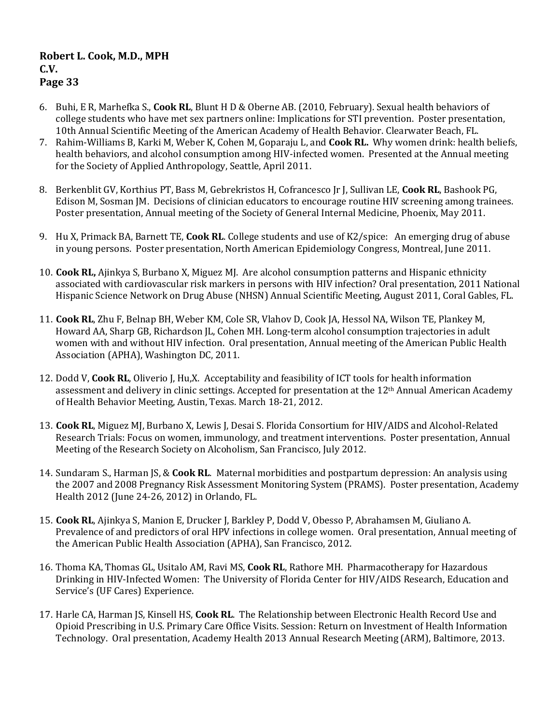- 6. Buhi, E R, Marhefka S., **Cook RL**, Blunt H D & Oberne AB. (2010, February). Sexual health behaviors of college students who have met sex partners online: Implications for STI prevention. Poster presentation, 10th Annual Scientific Meeting of the American Academy of Health Behavior. Clearwater Beach, FL.
- 7. Rahim-Williams B, Karki M, Weber K, Cohen M, Goparaju L, and **Cook RL.** Why women drink: health beliefs, health behaviors, and alcohol consumption among HIV-infected women. Presented at the Annual meeting for the Society of Applied Anthropology, Seattle, April 2011.
- 8. Berkenblit GV, Korthius PT, Bass M, Gebrekristos H, Cofrancesco Jr J, Sullivan LE, **Cook RL**, Bashook PG, Edison M, Sosman JM. Decisions of clinician educators to encourage routine HIV screening among trainees. Poster presentation, Annual meeting of the Society of General Internal Medicine, Phoenix, May 2011.
- 9. Hu X, Primack BA, Barnett TE, **Cook RL**. College students and use of K2/spice: An emerging drug of abuse in young persons. Poster presentation, North American Epidemiology Congress, Montreal, June 2011.
- 10. **Cook RL,** Ajinkya S, Burbano X, Miguez MJ. Are alcohol consumption patterns and Hispanic ethnicity associated with cardiovascular risk markers in persons with HIV infection? Oral presentation, 2011 National Hispanic Science Network on Drug Abuse (NHSN) Annual Scientific Meeting, August 2011, Coral Gables, FL.
- 11. **Cook RL**, Zhu F, Belnap BH, Weber KM, Cole SR, Vlahov D, Cook JA, Hessol NA, Wilson TE, Plankey M, Howard AA, Sharp GB, Richardson JL, Cohen MH. Long-term alcohol consumption trajectories in adult women with and without HIV infection. Oral presentation, Annual meeting of the American Public Health Association (APHA), Washington DC, 2011.
- 12. Dodd V, **Cook RL**, Oliverio J, Hu,X. Acceptability and feasibility of ICT tools for health information assessment and delivery in clinic settings. Accepted for presentation at the 12th Annual American Academy of Health Behavior Meeting, Austin, Texas. March 18-21, 2012.
- 13. **Cook RL**, Miguez MJ, Burbano X, Lewis J, Desai S. Florida Consortium for HIV/AIDS and Alcohol-Related Research Trials: Focus on women, immunology, and treatment interventions. Poster presentation, Annual Meeting of the Research Society on Alcoholism, San Francisco, July 2012.
- 14. Sundaram S., Harman JS, & **Cook RL**. Maternal morbidities and postpartum depression: An analysis using the 2007 and 2008 Pregnancy Risk Assessment Monitoring System (PRAMS). Poster presentation, Academy Health 2012 (June 24-26, 2012) in Orlando, FL.
- 15. **Cook RL**, Ajinkya S, Manion E, Drucker J, Barkley P, Dodd V, Obesso P, Abrahamsen M, Giuliano A. Prevalence of and predictors of oral HPV infections in college women. Oral presentation, Annual meeting of the American Public Health Association (APHA), San Francisco, 2012.
- 16. Thoma KA, Thomas GL, Usitalo AM, Ravi MS, **Cook RL**, Rathore MH. Pharmacotherapy for Hazardous Drinking in HIV-Infected Women: The University of Florida Center for HIV/AIDS Research, Education and Service's (UF Cares) Experience.
- 17. Harle CA, Harman JS, Kinsell HS, **Cook RL**. The Relationship between Electronic Health Record Use and Opioid Prescribing in U.S. Primary Care Office Visits. Session: Return on Investment of Health Information Technology. Oral presentation, Academy Health 2013 Annual Research Meeting (ARM), Baltimore, 2013.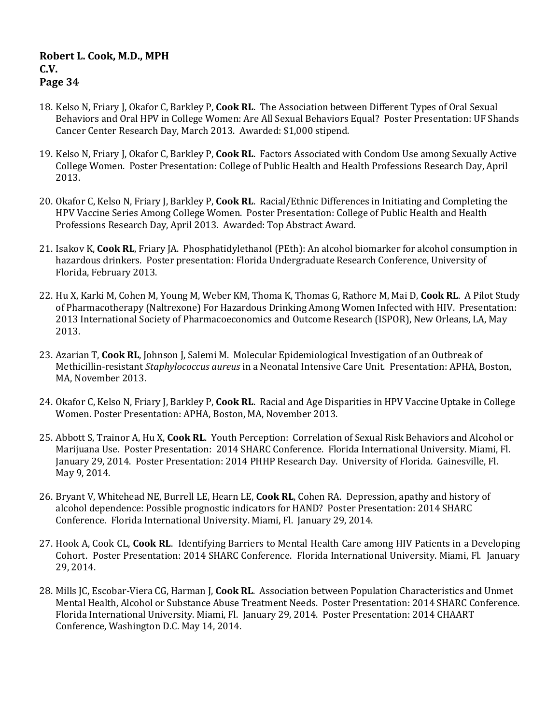- 18. Kelso N, Friary J, Okafor C, Barkley P, **Cook RL**. The Association between Different Types of Oral Sexual Behaviors and Oral HPV in College Women: Are All Sexual Behaviors Equal? Poster Presentation: UF Shands Cancer Center Research Day, March 2013. Awarded: \$1,000 stipend.
- 19. Kelso N, Friary J, Okafor C, Barkley P, **Cook RL**. Factors Associated with Condom Use among Sexually Active College Women. Poster Presentation: College of Public Health and Health Professions Research Day, April 2013.
- 20. Okafor C, Kelso N, Friary J, Barkley P, **Cook RL**. Racial/Ethnic Differences in Initiating and Completing the HPV Vaccine Series Among College Women. Poster Presentation: College of Public Health and Health Professions Research Day, April 2013. Awarded: Top Abstract Award.
- 21. Isakov K, **Cook RL**, Friary JA. Phosphatidylethanol (PEth): An alcohol biomarker for alcohol consumption in hazardous drinkers. Poster presentation: Florida Undergraduate Research Conference, University of Florida, February 2013.
- 22. Hu X, Karki M, Cohen M, Young M, Weber KM, Thoma K, Thomas G, Rathore M, Mai D, **Cook RL**. A Pilot Study of Pharmacotherapy (Naltrexone) For Hazardous Drinking Among Women Infected with HIV. Presentation: 2013 International Society of Pharmacoeconomics and Outcome Research (ISPOR), New Orleans, LA, May 2013.
- 23. Azarian T, **Cook RL**, Johnson J, Salemi M. Molecular Epidemiological Investigation of an Outbreak of Methicillin-resistant *Staphylococcus aureus* in a Neonatal Intensive Care Unit. Presentation: APHA, Boston, MA, November 2013.
- 24. Okafor C, Kelso N, Friary J, Barkley P, **Cook RL**. Racial and Age Disparities in HPV Vaccine Uptake in College Women. Poster Presentation: APHA, Boston, MA, November 2013.
- 25. Abbott S, Trainor A, Hu X, **Cook RL**. Youth Perception: Correlation of Sexual Risk Behaviors and Alcohol or Marijuana Use. Poster Presentation: 2014 SHARC Conference. Florida International University. Miami, Fl. January 29, 2014. Poster Presentation: 2014 PHHP Research Day. University of Florida. Gainesville, Fl. May 9, 2014.
- 26. Bryant V, Whitehead NE, Burrell LE, Hearn LE, **Cook RL**, Cohen RA. Depression, apathy and history of alcohol dependence: Possible prognostic indicators for HAND? Poster Presentation: 2014 SHARC Conference. Florida International University. Miami, Fl. January 29, 2014.
- 27. Hook A, Cook CL, **Cook RL**. Identifying Barriers to Mental Health Care among HIV Patients in a Developing Cohort. Poster Presentation: 2014 SHARC Conference. Florida International University. Miami, Fl. January 29, 2014.
- 28. Mills JC, Escobar-Viera CG, Harman J, **Cook RL**. Association between Population Characteristics and Unmet Mental Health, Alcohol or Substance Abuse Treatment Needs. Poster Presentation: 2014 SHARC Conference. Florida International University. Miami, Fl. January 29, 2014. Poster Presentation: 2014 CHAART Conference, Washington D.C. May 14, 2014.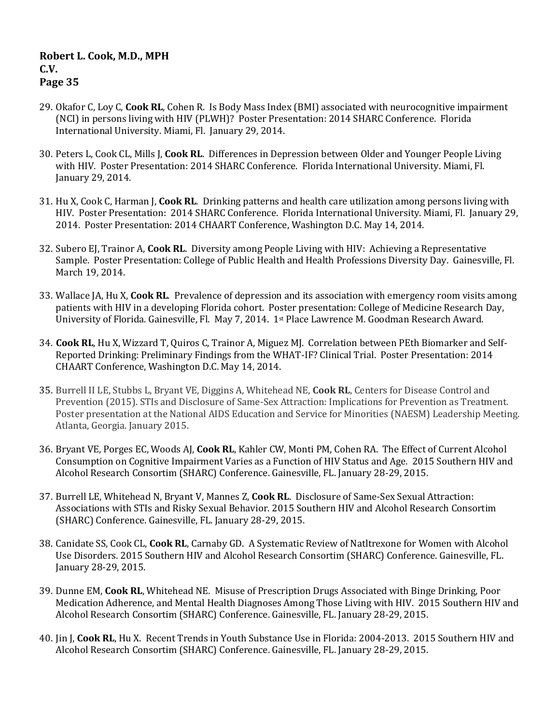- 29. Okafor C, Loy C, **Cook RL**, Cohen R. Is Body Mass Index (BMI) associated with neurocognitive impairment (NCI) in persons living with HIV (PLWH)? Poster Presentation: 2014 SHARC Conference. Florida International University. Miami, Fl. January 29, 2014.
- 30. Peters L, Cook CL, Mills J, **Cook RL**. Differences in Depression between Older and Younger People Living with HIV. Poster Presentation: 2014 SHARC Conference. Florida International University. Miami, Fl. January 29, 2014.
- 31. Hu X, Cook C, Harman J, **Cook RL**. Drinking patterns and health care utilization among persons living with HIV. Poster Presentation: 2014 SHARC Conference. Florida International University. Miami, Fl. January 29, 2014. Poster Presentation: 2014 CHAART Conference, Washington D.C. May 14, 2014.
- 32. Subero EJ, Trainor A, **Cook RL**. Diversity among People Living with HIV: Achieving a Representative Sample. Poster Presentation: College of Public Health and Health Professions Diversity Day. Gainesville, Fl. March 19, 2014.
- 33. Wallace JA, Hu X, **Cook RL**. Prevalence of depression and its association with emergency room visits among patients with HIV in a developing Florida cohort. Poster presentation: College of Medicine Research Day, University of Florida. Gainesville, Fl. May 7, 2014. 1st Place Lawrence M. Goodman Research Award.
- 34. **Cook RL**, Hu X, Wizzard T, Quiros C, Trainor A, Miguez MJ. Correlation between PEth Biomarker and Self-Reported Drinking: Preliminary Findings from the WHAT-IF? Clinical Trial. Poster Presentation: 2014 CHAART Conference, Washington D.C. May 14, 2014.
- 35. Burrell II LE, Stubbs L, Bryant VE, Diggins A, Whitehead NE, **Cook RL**, Centers for Disease Control and Prevention (2015). STIs and Disclosure of Same-Sex Attraction: Implications for Prevention as Treatment. Poster presentation at the National AIDS Education and Service for Minorities (NAESM) Leadership Meeting. Atlanta, Georgia. January 2015.
- 36. Bryant VE, Porges EC, Woods AJ, **Cook RL**, Kahler CW, Monti PM, Cohen RA. The Effect of Current Alcohol Consumption on Cognitive Impairment Varies as a Function of HIV Status and Age. 2015 Southern HIV and Alcohol Research Consortim (SHARC) Conference. Gainesville, FL. January 28-29, 2015.
- 37. Burrell LE, Whitehead N, Bryant V, Mannes Z, **Cook RL**. Disclosure of Same-Sex Sexual Attraction: Associations with STIs and Risky Sexual Behavior. 2015 Southern HIV and Alcohol Research Consortim (SHARC) Conference. Gainesville, FL. January 28-29, 2015.
- 38. Canidate SS, Cook CL, **Cook RL**, Carnaby GD. A Systematic Review of Natltrexone for Women with Alcohol Use Disorders. 2015 Southern HIV and Alcohol Research Consortim (SHARC) Conference. Gainesville, FL. January 28-29, 2015.
- 39. Dunne EM, **Cook RL**, Whitehead NE. Misuse of Prescription Drugs Associated with Binge Drinking, Poor Medication Adherence, and Mental Health Diagnoses Among Those Living with HIV. 2015 Southern HIV and Alcohol Research Consortim (SHARC) Conference. Gainesville, FL. January 28-29, 2015.
- 40. Jin J, **Cook RL**, Hu X. Recent Trends in Youth Substance Use in Florida: 2004-2013. 2015 Southern HIV and Alcohol Research Consortim (SHARC) Conference. Gainesville, FL. January 28-29, 2015.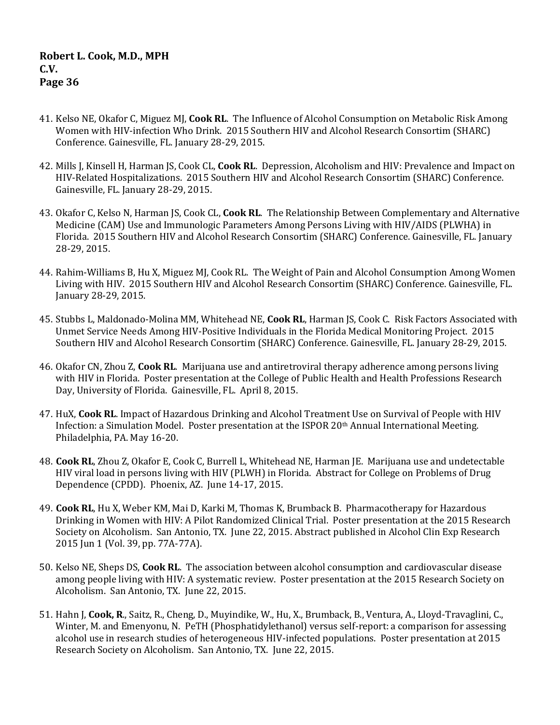- 41. Kelso NE, Okafor C, Miguez MJ, **Cook RL**. The Influence of Alcohol Consumption on Metabolic Risk Among Women with HIV-infection Who Drink. 2015 Southern HIV and Alcohol Research Consortim (SHARC) Conference. Gainesville, FL. January 28-29, 2015.
- 42. Mills J, Kinsell H, Harman JS, Cook CL, **Cook RL**. Depression, Alcoholism and HIV: Prevalence and Impact on HIV-Related Hospitalizations. 2015 Southern HIV and Alcohol Research Consortim (SHARC) Conference. Gainesville, FL. January 28-29, 2015.
- 43. Okafor C, Kelso N, Harman JS, Cook CL, **Cook RL**. The Relationship Between Complementary and Alternative Medicine (CAM) Use and Immunologic Parameters Among Persons Living with HIV/AIDS (PLWHA) in Florida. 2015 Southern HIV and Alcohol Research Consortim (SHARC) Conference. Gainesville, FL. January 28-29, 2015.
- 44. Rahim-Williams B, Hu X, Miguez MJ, Cook RL. The Weight of Pain and Alcohol Consumption Among Women Living with HIV. 2015 Southern HIV and Alcohol Research Consortim (SHARC) Conference. Gainesville, FL. January 28-29, 2015.
- 45. Stubbs L, Maldonado-Molina MM, Whitehead NE, **Cook RL**, Harman JS, Cook C. Risk Factors Associated with Unmet Service Needs Among HIV-Positive Individuals in the Florida Medical Monitoring Project. 2015 Southern HIV and Alcohol Research Consortim (SHARC) Conference. Gainesville, FL. January 28-29, 2015.
- 46. Okafor CN, Zhou Z, **Cook RL**. Marijuana use and antiretroviral therapy adherence among persons living with HIV in Florida. Poster presentation at the College of Public Health and Health Professions Research Day, University of Florida. Gainesville, FL. April 8, 2015.
- 47. HuX, **Cook RL**. Impact of Hazardous Drinking and Alcohol Treatment Use on Survival of People with HIV Infection: a Simulation Model. Poster presentation at the ISPOR 20<sup>th</sup> Annual International Meeting. Philadelphia, PA. May 16-20.
- 48. **Cook RL**, Zhou Z, Okafor E, Cook C, Burrell L, Whitehead NE, Harman JE. Marijuana use and undetectable HIV viral load in persons living with HIV (PLWH) in Florida. Abstract for College on Problems of Drug Dependence (CPDD). Phoenix, AZ. June 14-17, 2015.
- 49. **Cook RL**, Hu X, Weber KM, Mai D, Karki M, Thomas K, Brumback B. Pharmacotherapy for Hazardous Drinking in Women with HIV: A Pilot Randomized Clinical Trial. Poster presentation at the 2015 Research Society on Alcoholism. San Antonio, TX. June 22, 2015. Abstract published in Alcohol Clin Exp Research 2015 Jun 1 (Vol. 39, pp. 77A-77A).
- 50. Kelso NE, Sheps DS, **Cook RL**. The association between alcohol consumption and cardiovascular disease among people living with HIV: A systematic review. Poster presentation at the 2015 Research Society on Alcoholism. San Antonio, TX. June 22, 2015.
- 51. Hahn J, **Cook, R**., Saitz, R., Cheng, D., Muyindike, W., Hu, X., Brumback, B., Ventura, A., Lloyd-Travaglini, C., Winter, M. and Emenyonu, N. PeTH (Phosphatidylethanol) versus self-report: a comparison for assessing alcohol use in research studies of heterogeneous HIV-infected populations. Poster presentation at 2015 Research Society on Alcoholism. San Antonio, TX. June 22, 2015.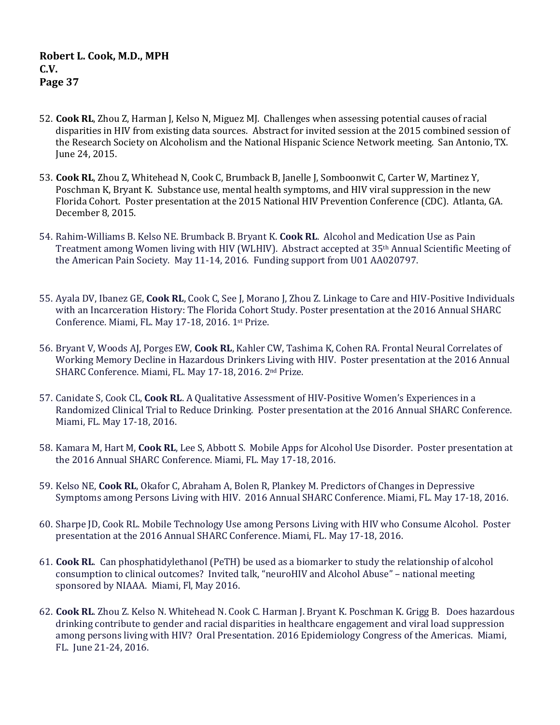- 52. **Cook RL**, Zhou Z, Harman J, Kelso N, Miguez MJ. Challenges when assessing potential causes of racial disparities in HIV from existing data sources. Abstract for invited session at the 2015 combined session of the Research Society on Alcoholism and the National Hispanic Science Network meeting. San Antonio, TX. June 24, 2015.
- 53. **Cook RL**, Zhou Z, Whitehead N, Cook C, Brumback B, Janelle J, Somboonwit C, Carter W, Martinez Y, Poschman K, Bryant K. Substance use, mental health symptoms, and HIV viral suppression in the new Florida Cohort. Poster presentation at the 2015 National HIV Prevention Conference (CDC). Atlanta, GA. December 8, 2015.
- 54. Rahim-Williams B. Kelso NE. Brumback B. Bryant K. **Cook RL**. Alcohol and Medication Use as Pain Treatment among Women living with HIV (WLHIV). Abstract accepted at 35th Annual Scientific Meeting of the American Pain Society. May 11-14, 2016. Funding support from U01 AA020797.
- 55. Ayala DV, Ibanez GE, **Cook RL**, Cook C, See J, Morano J, Zhou Z. Linkage to Care and HIV-Positive Individuals with an Incarceration History: The Florida Cohort Study. Poster presentation at the 2016 Annual SHARC Conference. Miami, FL. May 17-18, 2016. 1st Prize.
- 56. Bryant V, Woods AJ, Porges EW, **Cook RL**, Kahler CW, Tashima K, Cohen RA. Frontal Neural Correlates of Working Memory Decline in Hazardous Drinkers Living with HIV. Poster presentation at the 2016 Annual SHARC Conference. Miami, FL. May 17-18, 2016. 2<sup>nd</sup> Prize.
- 57. Canidate S, Cook CL, **Cook RL**. A Qualitative Assessment of HIV-Positive Women's Experiences in a Randomized Clinical Trial to Reduce Drinking. Poster presentation at the 2016 Annual SHARC Conference. Miami, FL. May 17-18, 2016.
- 58. Kamara M, Hart M, **Cook RL**, Lee S, Abbott S. Mobile Apps for Alcohol Use Disorder. Poster presentation at the 2016 Annual SHARC Conference. Miami, FL. May 17-18, 2016.
- 59. Kelso NE, **Cook RL**, Okafor C, Abraham A, Bolen R, Plankey M. Predictors of Changes in Depressive Symptoms among Persons Living with HIV. 2016 Annual SHARC Conference. Miami, FL. May 17-18, 2016.
- 60. Sharpe JD, Cook RL. Mobile Technology Use among Persons Living with HIV who Consume Alcohol. Poster presentation at the 2016 Annual SHARC Conference. Miami, FL. May 17-18, 2016.
- 61. **Cook RL**. Can phosphatidylethanol (PeTH) be used as a biomarker to study the relationship of alcohol consumption to clinical outcomes? Invited talk, "neuroHIV and Alcohol Abuse" – national meeting sponsored by NIAAA. Miami, Fl, May 2016.
- 62. **Cook RL**. Zhou Z. Kelso N. Whitehead N. Cook C. Harman J. Bryant K. Poschman K. Grigg B. Does hazardous drinking contribute to gender and racial disparities in healthcare engagement and viral load suppression among persons living with HIV? Oral Presentation. 2016 Epidemiology Congress of the Americas. Miami, FL. June 21-24, 2016.